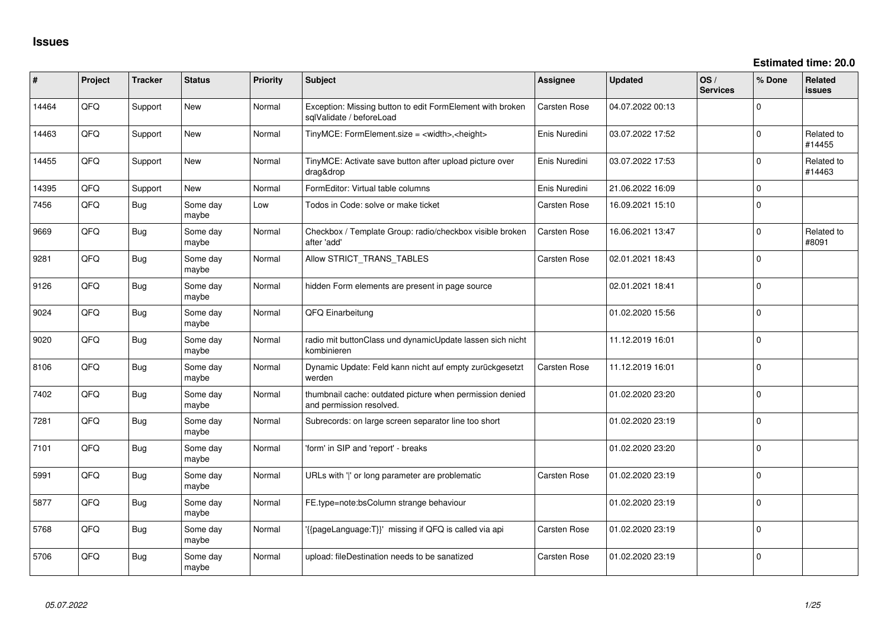| #     | Project | <b>Tracker</b> | <b>Status</b>     | Priority | Subject                                                                               | <b>Assignee</b>     | <b>Updated</b>   | OS/<br><b>Services</b> | % Done      | Related<br><b>issues</b> |
|-------|---------|----------------|-------------------|----------|---------------------------------------------------------------------------------------|---------------------|------------------|------------------------|-------------|--------------------------|
| 14464 | QFQ     | Support        | New               | Normal   | Exception: Missing button to edit FormElement with broken<br>sqlValidate / beforeLoad | <b>Carsten Rose</b> | 04.07.2022 00:13 |                        | $\Omega$    |                          |
| 14463 | QFQ     | Support        | New               | Normal   | TinyMCE: FormElement.size = <width>,<height></height></width>                         | Enis Nuredini       | 03.07.2022 17:52 |                        | $\mathbf 0$ | Related to<br>#14455     |
| 14455 | QFQ     | Support        | New               | Normal   | TinyMCE: Activate save button after upload picture over<br>drag&drop                  | Enis Nuredini       | 03.07.2022 17:53 |                        | $\mathbf 0$ | Related to<br>#14463     |
| 14395 | QFQ     | Support        | <b>New</b>        | Normal   | FormEditor: Virtual table columns                                                     | Enis Nuredini       | 21.06.2022 16:09 |                        | $\mathbf 0$ |                          |
| 7456  | QFG     | Bug            | Some day<br>maybe | Low      | Todos in Code: solve or make ticket                                                   | Carsten Rose        | 16.09.2021 15:10 |                        | $\mathbf 0$ |                          |
| 9669  | QFQ     | Bug            | Some day<br>maybe | Normal   | Checkbox / Template Group: radio/checkbox visible broken<br>after 'add'               | <b>Carsten Rose</b> | 16.06.2021 13:47 |                        | $\mathbf 0$ | Related to<br>#8091      |
| 9281  | QFQ     | <b>Bug</b>     | Some day<br>maybe | Normal   | Allow STRICT_TRANS_TABLES                                                             | <b>Carsten Rose</b> | 02.01.2021 18:43 |                        | $\Omega$    |                          |
| 9126  | QFQ     | Bug            | Some day<br>maybe | Normal   | hidden Form elements are present in page source                                       |                     | 02.01.2021 18:41 |                        | $\Omega$    |                          |
| 9024  | QFQ     | <b>Bug</b>     | Some day<br>maybe | Normal   | QFQ Einarbeitung                                                                      |                     | 01.02.2020 15:56 |                        | $\Omega$    |                          |
| 9020  | QFQ     | <b>Bug</b>     | Some day<br>maybe | Normal   | radio mit buttonClass und dynamicUpdate lassen sich nicht<br>kombinieren              |                     | 11.12.2019 16:01 |                        | $\mathbf 0$ |                          |
| 8106  | QFQ     | Bug            | Some day<br>maybe | Normal   | Dynamic Update: Feld kann nicht auf empty zurückgesetzt<br>werden                     | <b>Carsten Rose</b> | 11.12.2019 16:01 |                        | $\mathbf 0$ |                          |
| 7402  | QFQ     | Bug            | Some day<br>maybe | Normal   | thumbnail cache: outdated picture when permission denied<br>and permission resolved.  |                     | 01.02.2020 23:20 |                        | $\mathbf 0$ |                          |
| 7281  | QFQ     | Bug            | Some day<br>maybe | Normal   | Subrecords: on large screen separator line too short                                  |                     | 01.02.2020 23:19 |                        | $\Omega$    |                          |
| 7101  | QFQ     | Bug            | Some day<br>maybe | Normal   | 'form' in SIP and 'report' - breaks                                                   |                     | 01.02.2020 23:20 |                        | $\Omega$    |                          |
| 5991  | QFQ     | <b>Bug</b>     | Some day<br>maybe | Normal   | URLs with ' ' or long parameter are problematic                                       | <b>Carsten Rose</b> | 01.02.2020 23:19 |                        | $\Omega$    |                          |
| 5877  | QFQ     | Bug            | Some day<br>maybe | Normal   | FE.type=note:bsColumn strange behaviour                                               |                     | 01.02.2020 23:19 |                        | $\mathbf 0$ |                          |
| 5768  | QFQ     | Bug            | Some day<br>maybe | Normal   | '{{pageLanguage:T}}' missing if QFQ is called via api                                 | <b>Carsten Rose</b> | 01.02.2020 23:19 |                        | $\mathbf 0$ |                          |
| 5706  | QFQ     | Bug            | Some day<br>maybe | Normal   | upload: fileDestination needs to be sanatized                                         | <b>Carsten Rose</b> | 01.02.2020 23:19 |                        | $\mathbf 0$ |                          |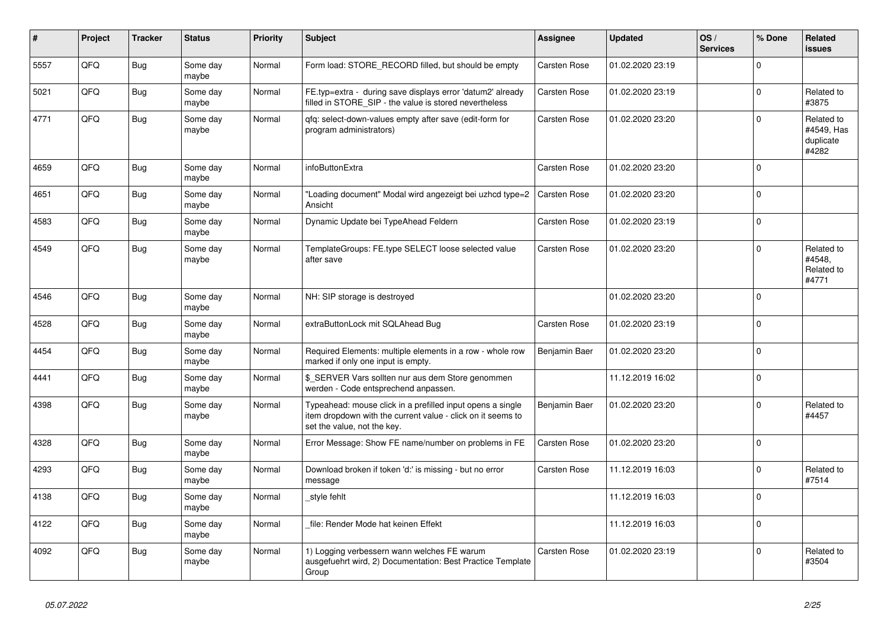| #    | Project | <b>Tracker</b> | <b>Status</b>     | Priority | <b>Subject</b>                                                                                                                                           | Assignee            | <b>Updated</b>   | OS/<br><b>Services</b> | % Done   | Related<br><b>issues</b>                       |
|------|---------|----------------|-------------------|----------|----------------------------------------------------------------------------------------------------------------------------------------------------------|---------------------|------------------|------------------------|----------|------------------------------------------------|
| 5557 | QFQ     | <b>Bug</b>     | Some day<br>maybe | Normal   | Form load: STORE_RECORD filled, but should be empty                                                                                                      | Carsten Rose        | 01.02.2020 23:19 |                        | $\Omega$ |                                                |
| 5021 | QFQ     | Bug            | Some day<br>maybe | Normal   | FE.typ=extra - during save displays error 'datum2' already<br>filled in STORE_SIP - the value is stored nevertheless                                     | Carsten Rose        | 01.02.2020 23:19 |                        | $\Omega$ | Related to<br>#3875                            |
| 4771 | QFQ     | Bug            | Some day<br>maybe | Normal   | gfg: select-down-values empty after save (edit-form for<br>program administrators)                                                                       | Carsten Rose        | 01.02.2020 23:20 |                        | $\Omega$ | Related to<br>#4549. Has<br>duplicate<br>#4282 |
| 4659 | QFQ     | Bug            | Some day<br>maybe | Normal   | infoButtonExtra                                                                                                                                          | <b>Carsten Rose</b> | 01.02.2020 23:20 |                        | $\Omega$ |                                                |
| 4651 | QFQ     | Bug            | Some day<br>maybe | Normal   | 'Loading document" Modal wird angezeigt bei uzhcd type=2<br>Ansicht                                                                                      | Carsten Rose        | 01.02.2020 23:20 |                        | $\Omega$ |                                                |
| 4583 | QFQ     | <b>Bug</b>     | Some day<br>maybe | Normal   | Dynamic Update bei TypeAhead Feldern                                                                                                                     | Carsten Rose        | 01.02.2020 23:19 |                        | $\Omega$ |                                                |
| 4549 | QFQ     | <b>Bug</b>     | Some day<br>maybe | Normal   | TemplateGroups: FE.type SELECT loose selected value<br>after save                                                                                        | Carsten Rose        | 01.02.2020 23:20 |                        | $\Omega$ | Related to<br>#4548,<br>Related to<br>#4771    |
| 4546 | QFQ     | Bug            | Some day<br>maybe | Normal   | NH: SIP storage is destroyed                                                                                                                             |                     | 01.02.2020 23:20 |                        | $\Omega$ |                                                |
| 4528 | QFQ     | Bug            | Some day<br>maybe | Normal   | extraButtonLock mit SQLAhead Bug                                                                                                                         | Carsten Rose        | 01.02.2020 23:19 |                        | $\Omega$ |                                                |
| 4454 | QFQ     | <b>Bug</b>     | Some day<br>maybe | Normal   | Required Elements: multiple elements in a row - whole row<br>marked if only one input is empty.                                                          | Benjamin Baer       | 01.02.2020 23:20 |                        | $\Omega$ |                                                |
| 4441 | QFQ     | Bug            | Some day<br>maybe | Normal   | \$ SERVER Vars sollten nur aus dem Store genommen<br>werden - Code entsprechend anpassen.                                                                |                     | 11.12.2019 16:02 |                        | $\Omega$ |                                                |
| 4398 | QFQ     | Bug            | Some day<br>maybe | Normal   | Typeahead: mouse click in a prefilled input opens a single<br>item dropdown with the current value - click on it seems to<br>set the value, not the key. | Benjamin Baer       | 01.02.2020 23:20 |                        | $\Omega$ | Related to<br>#4457                            |
| 4328 | QFQ     | Bug            | Some day<br>maybe | Normal   | Error Message: Show FE name/number on problems in FE                                                                                                     | Carsten Rose        | 01.02.2020 23:20 |                        | $\Omega$ |                                                |
| 4293 | QFQ     | Bug            | Some day<br>maybe | Normal   | Download broken if token 'd:' is missing - but no error<br>message                                                                                       | Carsten Rose        | 11.12.2019 16:03 |                        | $\Omega$ | Related to<br>#7514                            |
| 4138 | QFQ     | Bug            | Some day<br>maybe | Normal   | style fehlt                                                                                                                                              |                     | 11.12.2019 16:03 |                        | $\Omega$ |                                                |
| 4122 | QFQ     | <b>Bug</b>     | Some day<br>maybe | Normal   | file: Render Mode hat keinen Effekt                                                                                                                      |                     | 11.12.2019 16:03 |                        | $\Omega$ |                                                |
| 4092 | QFQ     | Bug            | Some day<br>maybe | Normal   | 1) Logging verbessern wann welches FE warum<br>ausgefuehrt wird, 2) Documentation: Best Practice Template<br>Group                                       | Carsten Rose        | 01.02.2020 23:19 |                        | $\Omega$ | Related to<br>#3504                            |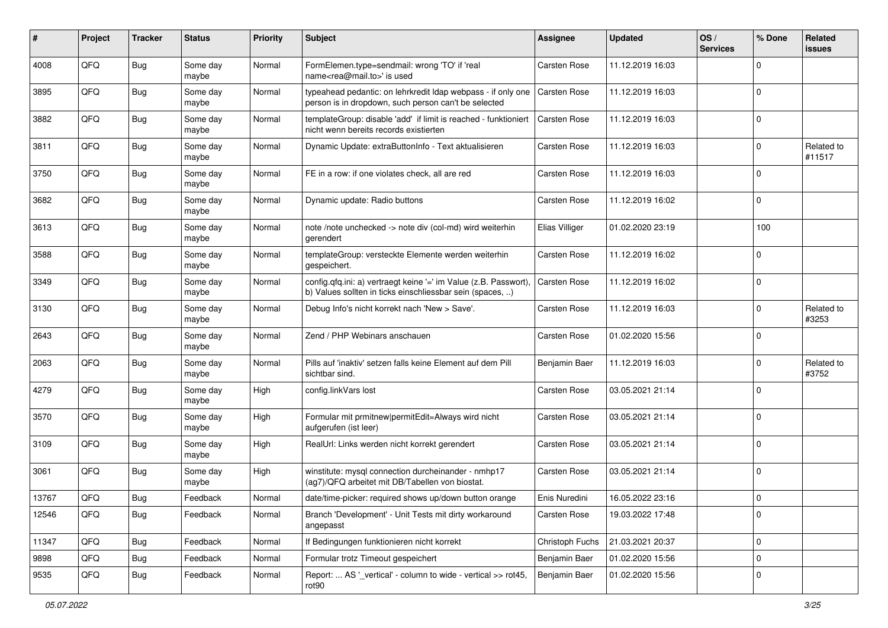| ∦     | Project | <b>Tracker</b> | <b>Status</b>     | <b>Priority</b> | Subject                                                                                                                       | <b>Assignee</b> | <b>Updated</b>   | OS/<br><b>Services</b> | % Done         | Related<br><b>issues</b> |
|-------|---------|----------------|-------------------|-----------------|-------------------------------------------------------------------------------------------------------------------------------|-----------------|------------------|------------------------|----------------|--------------------------|
| 4008  | QFQ     | <b>Bug</b>     | Some day<br>maybe | Normal          | FormElemen.type=sendmail: wrong 'TO' if 'real<br>name <rea@mail.to>' is used</rea@mail.to>                                    | Carsten Rose    | 11.12.2019 16:03 |                        | $\Omega$       |                          |
| 3895  | QFQ     | Bug            | Some day<br>maybe | Normal          | typeahead pedantic: on lehrkredit Idap webpass - if only one<br>person is in dropdown, such person can't be selected          | Carsten Rose    | 11.12.2019 16:03 |                        | $\Omega$       |                          |
| 3882  | QFQ     | Bug            | Some day<br>maybe | Normal          | templateGroup: disable 'add' if limit is reached - funktioniert<br>nicht wenn bereits records existierten                     | Carsten Rose    | 11.12.2019 16:03 |                        | $\Omega$       |                          |
| 3811  | QFQ     | <b>Bug</b>     | Some day<br>maybe | Normal          | Dynamic Update: extraButtonInfo - Text aktualisieren                                                                          | Carsten Rose    | 11.12.2019 16:03 |                        | $\Omega$       | Related to<br>#11517     |
| 3750  | QFQ     | Bug            | Some day<br>maybe | Normal          | FE in a row: if one violates check, all are red                                                                               | Carsten Rose    | 11.12.2019 16:03 |                        | $\Omega$       |                          |
| 3682  | QFQ     | Bug            | Some day<br>maybe | Normal          | Dynamic update: Radio buttons                                                                                                 | Carsten Rose    | 11.12.2019 16:02 |                        | $\Omega$       |                          |
| 3613  | QFQ     | <b>Bug</b>     | Some day<br>maybe | Normal          | note /note unchecked -> note div (col-md) wird weiterhin<br>gerendert                                                         | Elias Villiger  | 01.02.2020 23:19 |                        | 100            |                          |
| 3588  | QFQ     | <b>Bug</b>     | Some day<br>maybe | Normal          | templateGroup: versteckte Elemente werden weiterhin<br>gespeichert.                                                           | Carsten Rose    | 11.12.2019 16:02 |                        | $\mathbf 0$    |                          |
| 3349  | QFQ     | <b>Bug</b>     | Some day<br>maybe | Normal          | config.qfq.ini: a) vertraegt keine '=' im Value (z.B. Passwort),<br>b) Values sollten in ticks einschliessbar sein (spaces, ) | Carsten Rose    | 11.12.2019 16:02 |                        | $\mathbf 0$    |                          |
| 3130  | QFQ     | <b>Bug</b>     | Some day<br>maybe | Normal          | Debug Info's nicht korrekt nach 'New > Save'.                                                                                 | Carsten Rose    | 11.12.2019 16:03 |                        | $\Omega$       | Related to<br>#3253      |
| 2643  | QFQ     | Bug            | Some day<br>maybe | Normal          | Zend / PHP Webinars anschauen                                                                                                 | Carsten Rose    | 01.02.2020 15:56 |                        | $\Omega$       |                          |
| 2063  | QFQ     | <b>Bug</b>     | Some day<br>maybe | Normal          | Pills auf 'inaktiv' setzen falls keine Element auf dem Pill<br>sichtbar sind.                                                 | Benjamin Baer   | 11.12.2019 16:03 |                        | $\Omega$       | Related to<br>#3752      |
| 4279  | QFQ     | <b>Bug</b>     | Some day<br>maybe | High            | config.linkVars lost                                                                                                          | Carsten Rose    | 03.05.2021 21:14 |                        | $\Omega$       |                          |
| 3570  | QFQ     | Bug            | Some day<br>maybe | High            | Formular mit prmitnew permitEdit=Always wird nicht<br>aufgerufen (ist leer)                                                   | Carsten Rose    | 03.05.2021 21:14 |                        | $\Omega$       |                          |
| 3109  | QFQ     | <b>Bug</b>     | Some day<br>maybe | High            | RealUrl: Links werden nicht korrekt gerendert                                                                                 | Carsten Rose    | 03.05.2021 21:14 |                        | $\mathbf 0$    |                          |
| 3061  | QFQ     | Bug            | Some day<br>maybe | High            | winstitute: mysql connection durcheinander - nmhp17<br>(ag7)/QFQ arbeitet mit DB/Tabellen von biostat.                        | Carsten Rose    | 03.05.2021 21:14 |                        | $\mathbf 0$    |                          |
| 13767 | QFQ     | Bug            | Feedback          | Normal          | date/time-picker: required shows up/down button orange                                                                        | Enis Nuredini   | 16.05.2022 23:16 |                        | $\overline{0}$ |                          |
| 12546 | QFQ     | Bug            | Feedback          | Normal          | Branch 'Development' - Unit Tests mit dirty workaround<br>angepasst                                                           | Carsten Rose    | 19.03.2022 17:48 |                        | $\mathbf 0$    |                          |
| 11347 | QFQ     | <b>Bug</b>     | Feedback          | Normal          | If Bedingungen funktionieren nicht korrekt                                                                                    | Christoph Fuchs | 21.03.2021 20:37 |                        | $\mathbf 0$    |                          |
| 9898  | QFQ     | <b>Bug</b>     | Feedback          | Normal          | Formular trotz Timeout gespeichert                                                                                            | Benjamin Baer   | 01.02.2020 15:56 |                        | 0              |                          |
| 9535  | QFQ     | <b>Bug</b>     | Feedback          | Normal          | Report:  AS '_vertical' - column to wide - vertical >> rot45,<br>rot90                                                        | Benjamin Baer   | 01.02.2020 15:56 |                        | $\Omega$       |                          |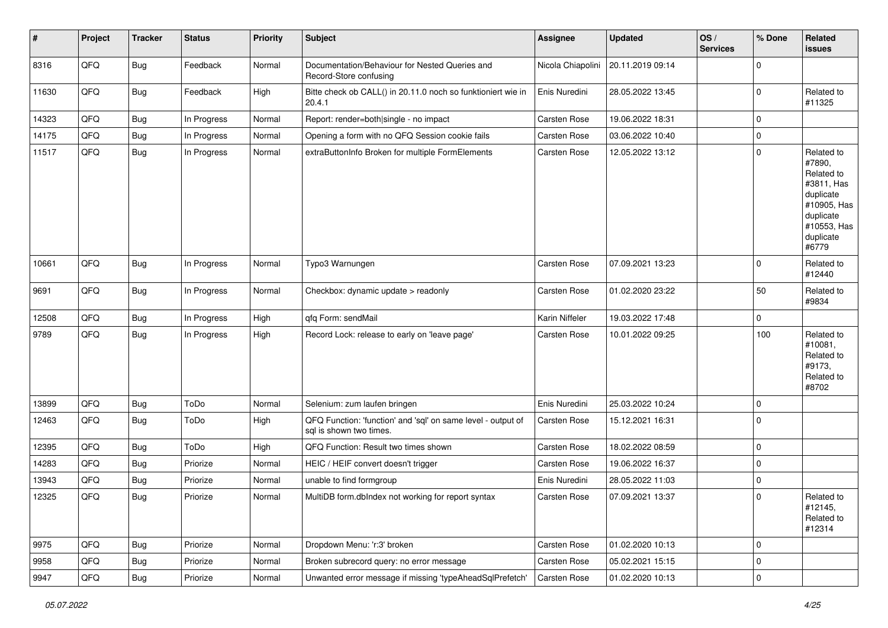| #     | Project | <b>Tracker</b> | <b>Status</b> | <b>Priority</b> | <b>Subject</b>                                                                          | Assignee            | <b>Updated</b>   | OS/<br><b>Services</b> | % Done      | Related<br>issues                                                                                                              |
|-------|---------|----------------|---------------|-----------------|-----------------------------------------------------------------------------------------|---------------------|------------------|------------------------|-------------|--------------------------------------------------------------------------------------------------------------------------------|
| 8316  | QFQ     | <b>Bug</b>     | Feedback      | Normal          | Documentation/Behaviour for Nested Queries and<br>Record-Store confusing                | Nicola Chiapolini   | 20.11.2019 09:14 |                        | $\mathbf 0$ |                                                                                                                                |
| 11630 | QFQ     | Bug            | Feedback      | High            | Bitte check ob CALL() in 20.11.0 noch so funktioniert wie in<br>20.4.1                  | Enis Nuredini       | 28.05.2022 13:45 |                        | $\mathbf 0$ | Related to<br>#11325                                                                                                           |
| 14323 | QFQ     | Bug            | In Progress   | Normal          | Report: render=both single - no impact                                                  | Carsten Rose        | 19.06.2022 18:31 |                        | $\mathbf 0$ |                                                                                                                                |
| 14175 | QFQ     | <b>Bug</b>     | In Progress   | Normal          | Opening a form with no QFQ Session cookie fails                                         | Carsten Rose        | 03.06.2022 10:40 |                        | $\mathbf 0$ |                                                                                                                                |
| 11517 | QFQ     | <b>Bug</b>     | In Progress   | Normal          | extraButtonInfo Broken for multiple FormElements                                        | Carsten Rose        | 12.05.2022 13:12 |                        | $\mathbf 0$ | Related to<br>#7890.<br>Related to<br>#3811. Has<br>duplicate<br>#10905, Has<br>duplicate<br>#10553, Has<br>duplicate<br>#6779 |
| 10661 | QFQ     | <b>Bug</b>     | In Progress   | Normal          | Typo3 Warnungen                                                                         | Carsten Rose        | 07.09.2021 13:23 |                        | $\mathbf 0$ | Related to<br>#12440                                                                                                           |
| 9691  | QFQ     | <b>Bug</b>     | In Progress   | Normal          | Checkbox: dynamic update > readonly                                                     | Carsten Rose        | 01.02.2020 23:22 |                        | 50          | Related to<br>#9834                                                                                                            |
| 12508 | QFQ     | <b>Bug</b>     | In Progress   | High            | qfq Form: sendMail                                                                      | Karin Niffeler      | 19.03.2022 17:48 |                        | $\mathbf 0$ |                                                                                                                                |
| 9789  | QFQ     | <b>Bug</b>     | In Progress   | High            | Record Lock: release to early on 'leave page'                                           | Carsten Rose        | 10.01.2022 09:25 |                        | 100         | Related to<br>#10081,<br>Related to<br>#9173,<br>Related to<br>#8702                                                           |
| 13899 | QFQ     | <b>Bug</b>     | ToDo          | Normal          | Selenium: zum laufen bringen                                                            | Enis Nuredini       | 25.03.2022 10:24 |                        | $\mathbf 0$ |                                                                                                                                |
| 12463 | QFQ     | Bug            | ToDo          | High            | QFQ Function: 'function' and 'sql' on same level - output of<br>sal is shown two times. | Carsten Rose        | 15.12.2021 16:31 |                        | $\mathbf 0$ |                                                                                                                                |
| 12395 | QFQ     | <b>Bug</b>     | ToDo          | High            | QFQ Function: Result two times shown                                                    | Carsten Rose        | 18.02.2022 08:59 |                        | $\mathbf 0$ |                                                                                                                                |
| 14283 | QFQ     | Bug            | Priorize      | Normal          | HEIC / HEIF convert doesn't trigger                                                     | Carsten Rose        | 19.06.2022 16:37 |                        | $\mathbf 0$ |                                                                                                                                |
| 13943 | QFQ     | Bug            | Priorize      | Normal          | unable to find formgroup                                                                | Enis Nuredini       | 28.05.2022 11:03 |                        | $\mathbf 0$ |                                                                                                                                |
| 12325 | QFQ     | Bug            | Priorize      | Normal          | MultiDB form dblndex not working for report syntax                                      | <b>Carsten Rose</b> | 07.09.2021 13:37 |                        | $\mathbf 0$ | Related to<br>#12145,<br>Related to<br>#12314                                                                                  |
| 9975  | QFQ     | <b>Bug</b>     | Priorize      | Normal          | Dropdown Menu: 'r:3' broken                                                             | Carsten Rose        | 01.02.2020 10:13 |                        | $\mathbf 0$ |                                                                                                                                |
| 9958  | QFQ     | <b>Bug</b>     | Priorize      | Normal          | Broken subrecord query: no error message                                                | Carsten Rose        | 05.02.2021 15:15 |                        | $\mathbf 0$ |                                                                                                                                |
| 9947  | QFQ     | <b>Bug</b>     | Priorize      | Normal          | Unwanted error message if missing 'typeAheadSqlPrefetch'                                | Carsten Rose        | 01.02.2020 10:13 |                        | $\pmb{0}$   |                                                                                                                                |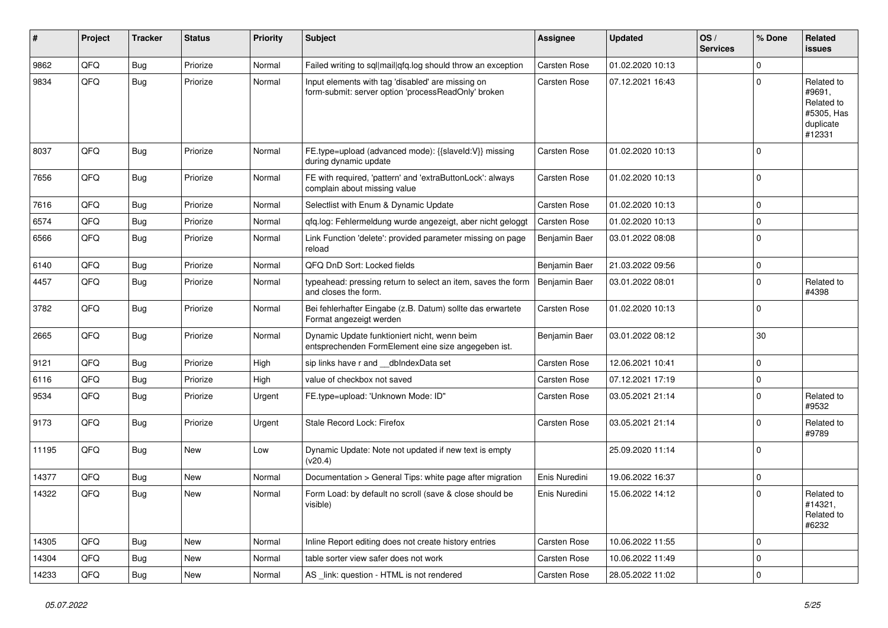| #     | Project | <b>Tracker</b> | <b>Status</b> | <b>Priority</b> | Subject                                                                                                  | <b>Assignee</b> | <b>Updated</b>   | OS/<br><b>Services</b> | % Done      | Related<br><b>issues</b>                                                |
|-------|---------|----------------|---------------|-----------------|----------------------------------------------------------------------------------------------------------|-----------------|------------------|------------------------|-------------|-------------------------------------------------------------------------|
| 9862  | QFQ     | Bug            | Priorize      | Normal          | Failed writing to sql mail qfq.log should throw an exception                                             | Carsten Rose    | 01.02.2020 10:13 |                        | $\mathbf 0$ |                                                                         |
| 9834  | QFQ     | Bug            | Priorize      | Normal          | Input elements with tag 'disabled' are missing on<br>form-submit: server option 'processReadOnly' broken | Carsten Rose    | 07.12.2021 16:43 |                        | $\mathbf 0$ | Related to<br>#9691,<br>Related to<br>#5305, Has<br>duplicate<br>#12331 |
| 8037  | QFQ     | Bug            | Priorize      | Normal          | FE.type=upload (advanced mode): {{slaveId:V}} missing<br>during dynamic update                           | Carsten Rose    | 01.02.2020 10:13 |                        | $\mathbf 0$ |                                                                         |
| 7656  | QFQ     | <b>Bug</b>     | Priorize      | Normal          | FE with required, 'pattern' and 'extraButtonLock': always<br>complain about missing value                | Carsten Rose    | 01.02.2020 10:13 |                        | $\mathbf 0$ |                                                                         |
| 7616  | QFQ     | <b>Bug</b>     | Priorize      | Normal          | Selectlist with Enum & Dynamic Update                                                                    | Carsten Rose    | 01.02.2020 10:13 |                        | $\mathbf 0$ |                                                                         |
| 6574  | QFQ     | Bug            | Priorize      | Normal          | qfq.log: Fehlermeldung wurde angezeigt, aber nicht geloggt                                               | Carsten Rose    | 01.02.2020 10:13 |                        | $\mathbf 0$ |                                                                         |
| 6566  | QFQ     | Bug            | Priorize      | Normal          | Link Function 'delete': provided parameter missing on page<br>reload                                     | Benjamin Baer   | 03.01.2022 08:08 |                        | $\mathbf 0$ |                                                                         |
| 6140  | QFQ     | Bug            | Priorize      | Normal          | QFQ DnD Sort: Locked fields                                                                              | Benjamin Baer   | 21.03.2022 09:56 |                        | $\mathbf 0$ |                                                                         |
| 4457  | QFQ     | Bug            | Priorize      | Normal          | typeahead: pressing return to select an item, saves the form<br>and closes the form.                     | Benjamin Baer   | 03.01.2022 08:01 |                        | $\mathbf 0$ | Related to<br>#4398                                                     |
| 3782  | QFQ     | Bug            | Priorize      | Normal          | Bei fehlerhafter Eingabe (z.B. Datum) sollte das erwartete<br>Format angezeigt werden                    | Carsten Rose    | 01.02.2020 10:13 |                        | $\mathbf 0$ |                                                                         |
| 2665  | QFQ     | Bug            | Priorize      | Normal          | Dynamic Update funktioniert nicht, wenn beim<br>entsprechenden FormElement eine size angegeben ist.      | Benjamin Baer   | 03.01.2022 08:12 |                        | 30          |                                                                         |
| 9121  | QFQ     | <b>Bug</b>     | Priorize      | High            | sip links have r and __dbIndexData set                                                                   | Carsten Rose    | 12.06.2021 10:41 |                        | $\mathsf 0$ |                                                                         |
| 6116  | QFQ     | <b>Bug</b>     | Priorize      | High            | value of checkbox not saved                                                                              | Carsten Rose    | 07.12.2021 17:19 |                        | $\mathbf 0$ |                                                                         |
| 9534  | QFQ     | Bug            | Priorize      | Urgent          | FE.type=upload: 'Unknown Mode: ID"                                                                       | Carsten Rose    | 03.05.2021 21:14 |                        | $\mathbf 0$ | Related to<br>#9532                                                     |
| 9173  | QFQ     | Bug            | Priorize      | Urgent          | Stale Record Lock: Firefox                                                                               | Carsten Rose    | 03.05.2021 21:14 |                        | $\mathbf 0$ | Related to<br>#9789                                                     |
| 11195 | QFQ     | <b>Bug</b>     | <b>New</b>    | Low             | Dynamic Update: Note not updated if new text is empty<br>(v20.4)                                         |                 | 25.09.2020 11:14 |                        | $\mathbf 0$ |                                                                         |
| 14377 | QFQ     | <b>Bug</b>     | <b>New</b>    | Normal          | Documentation > General Tips: white page after migration                                                 | Enis Nuredini   | 19.06.2022 16:37 |                        | $\mathbf 0$ |                                                                         |
| 14322 | QFQ     | Bug            | New           | Normal          | Form Load: by default no scroll (save & close should be<br>visible)                                      | Enis Nuredini   | 15.06.2022 14:12 |                        | $\mathbf 0$ | Related to<br>#14321,<br>Related to<br>#6232                            |
| 14305 | QFQ     | <b>Bug</b>     | New           | Normal          | Inline Report editing does not create history entries                                                    | Carsten Rose    | 10.06.2022 11:55 |                        | $\mathbf 0$ |                                                                         |
| 14304 | QFQ     | <b>Bug</b>     | New           | Normal          | table sorter view safer does not work                                                                    | Carsten Rose    | 10.06.2022 11:49 |                        | $\mathbf 0$ |                                                                         |
| 14233 | QFQ     | <b>Bug</b>     | New           | Normal          | AS _link: question - HTML is not rendered                                                                | Carsten Rose    | 28.05.2022 11:02 |                        | $\mathbf 0$ |                                                                         |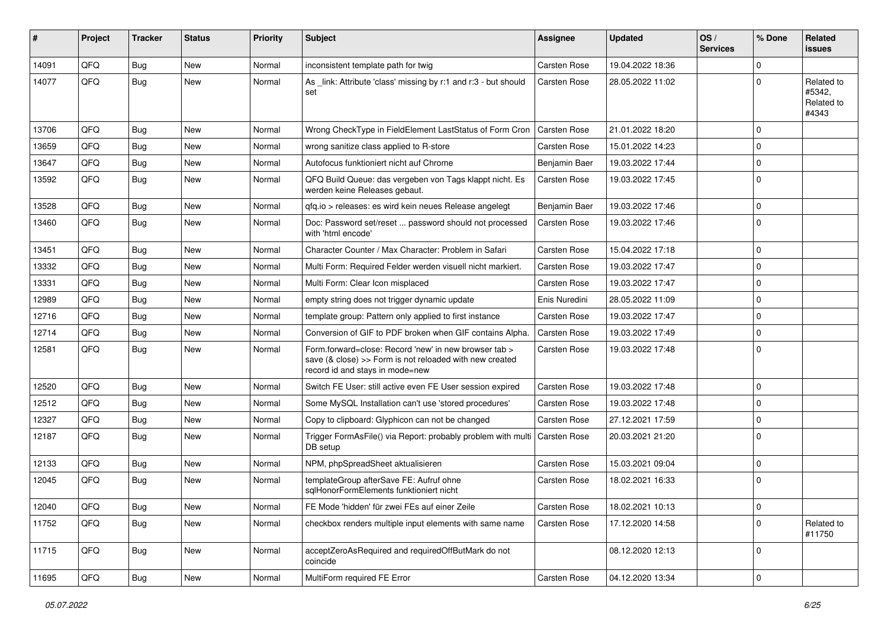| #     | Project | Tracker    | <b>Status</b> | Priority | Subject                                                                                                                                             | <b>Assignee</b>     | <b>Updated</b>   | OS/<br><b>Services</b> | % Done      | Related<br>issues                           |
|-------|---------|------------|---------------|----------|-----------------------------------------------------------------------------------------------------------------------------------------------------|---------------------|------------------|------------------------|-------------|---------------------------------------------|
| 14091 | QFQ     | Bug        | New           | Normal   | inconsistent template path for twig                                                                                                                 | Carsten Rose        | 19.04.2022 18:36 |                        | $\Omega$    |                                             |
| 14077 | QFQ     | Bug        | New           | Normal   | As _link: Attribute 'class' missing by r:1 and r:3 - but should<br>set                                                                              | Carsten Rose        | 28.05.2022 11:02 |                        | 0           | Related to<br>#5342,<br>Related to<br>#4343 |
| 13706 | QFQ     | Bug        | <b>New</b>    | Normal   | Wrong CheckType in FieldElement LastStatus of Form Cron                                                                                             | Carsten Rose        | 21.01.2022 18:20 |                        | $\Omega$    |                                             |
| 13659 | QFQ     | Bug        | New           | Normal   | wrong sanitize class applied to R-store                                                                                                             | Carsten Rose        | 15.01.2022 14:23 |                        | 0           |                                             |
| 13647 | QFQ     | Bug        | New           | Normal   | Autofocus funktioniert nicht auf Chrome                                                                                                             | Benjamin Baer       | 19.03.2022 17:44 |                        | $\Omega$    |                                             |
| 13592 | QFQ     | Bug        | New           | Normal   | QFQ Build Queue: das vergeben von Tags klappt nicht. Es<br>werden keine Releases gebaut.                                                            | Carsten Rose        | 19.03.2022 17:45 |                        | 0           |                                             |
| 13528 | QFQ     | Bug        | <b>New</b>    | Normal   | qfq.io > releases: es wird kein neues Release angelegt                                                                                              | Benjamin Baer       | 19.03.2022 17:46 |                        | $\mathbf 0$ |                                             |
| 13460 | QFQ     | Bug        | <b>New</b>    | Normal   | Doc: Password set/reset  password should not processed<br>with 'html encode'                                                                        | Carsten Rose        | 19.03.2022 17:46 |                        | $\Omega$    |                                             |
| 13451 | QFQ     | Bug        | <b>New</b>    | Normal   | Character Counter / Max Character: Problem in Safari                                                                                                | Carsten Rose        | 15.04.2022 17:18 |                        | $\Omega$    |                                             |
| 13332 | QFQ     | Bug        | New           | Normal   | Multi Form: Required Felder werden visuell nicht markiert.                                                                                          | Carsten Rose        | 19.03.2022 17:47 |                        | $\mathbf 0$ |                                             |
| 13331 | QFQ     | Bug        | <b>New</b>    | Normal   | Multi Form: Clear Icon misplaced                                                                                                                    | Carsten Rose        | 19.03.2022 17:47 |                        | $\Omega$    |                                             |
| 12989 | QFQ     | Bug        | New           | Normal   | empty string does not trigger dynamic update                                                                                                        | Enis Nuredini       | 28.05.2022 11:09 |                        | $\Omega$    |                                             |
| 12716 | QFQ     | Bug        | New           | Normal   | template group: Pattern only applied to first instance                                                                                              | Carsten Rose        | 19.03.2022 17:47 |                        | $\Omega$    |                                             |
| 12714 | QFQ     | Bug        | <b>New</b>    | Normal   | Conversion of GIF to PDF broken when GIF contains Alpha.                                                                                            | Carsten Rose        | 19.03.2022 17:49 |                        | $\mathbf 0$ |                                             |
| 12581 | QFQ     | Bug        | New           | Normal   | Form.forward=close: Record 'new' in new browser tab ><br>save (& close) >> Form is not reloaded with new created<br>record id and stays in mode=new | Carsten Rose        | 19.03.2022 17:48 |                        | $\Omega$    |                                             |
| 12520 | QFQ     | Bug        | New           | Normal   | Switch FE User: still active even FE User session expired                                                                                           | Carsten Rose        | 19.03.2022 17:48 |                        | $\mathbf 0$ |                                             |
| 12512 | QFQ     | Bug        | <b>New</b>    | Normal   | Some MySQL Installation can't use 'stored procedures'                                                                                               | Carsten Rose        | 19.03.2022 17:48 |                        | $\Omega$    |                                             |
| 12327 | QFQ     | Bug        | <b>New</b>    | Normal   | Copy to clipboard: Glyphicon can not be changed                                                                                                     | Carsten Rose        | 27.12.2021 17:59 |                        | 0           |                                             |
| 12187 | QFQ     | Bug        | New           | Normal   | Trigger FormAsFile() via Report: probably problem with multi<br>DB setup                                                                            | <b>Carsten Rose</b> | 20.03.2021 21:20 |                        | $\Omega$    |                                             |
| 12133 | QFQ     | Bug        | <b>New</b>    | Normal   | NPM, phpSpreadSheet aktualisieren                                                                                                                   | Carsten Rose        | 15.03.2021 09:04 |                        | $\Omega$    |                                             |
| 12045 | QFQ     | Bug        | New           | Normal   | templateGroup afterSave FE: Aufruf ohne<br>sqlHonorFormElements funktioniert nicht                                                                  | Carsten Rose        | 18.02.2021 16:33 |                        | 0           |                                             |
| 12040 | QFQ     | Bug        | New           | Normal   | FE Mode 'hidden' für zwei FEs auf einer Zeile                                                                                                       | Carsten Rose        | 18.02.2021 10:13 |                        | 0           |                                             |
| 11752 | QFQ     | Bug        | New           | Normal   | checkbox renders multiple input elements with same name                                                                                             | Carsten Rose        | 17.12.2020 14:58 |                        | $\mathbf 0$ | Related to<br>#11750                        |
| 11715 | QFQ     | <b>Bug</b> | New           | Normal   | acceptZeroAsRequired and requiredOffButMark do not<br>coincide                                                                                      |                     | 08.12.2020 12:13 |                        | $\mathbf 0$ |                                             |
| 11695 | QFQ     | <b>Bug</b> | New           | Normal   | MultiForm required FE Error                                                                                                                         | Carsten Rose        | 04.12.2020 13:34 |                        | 0           |                                             |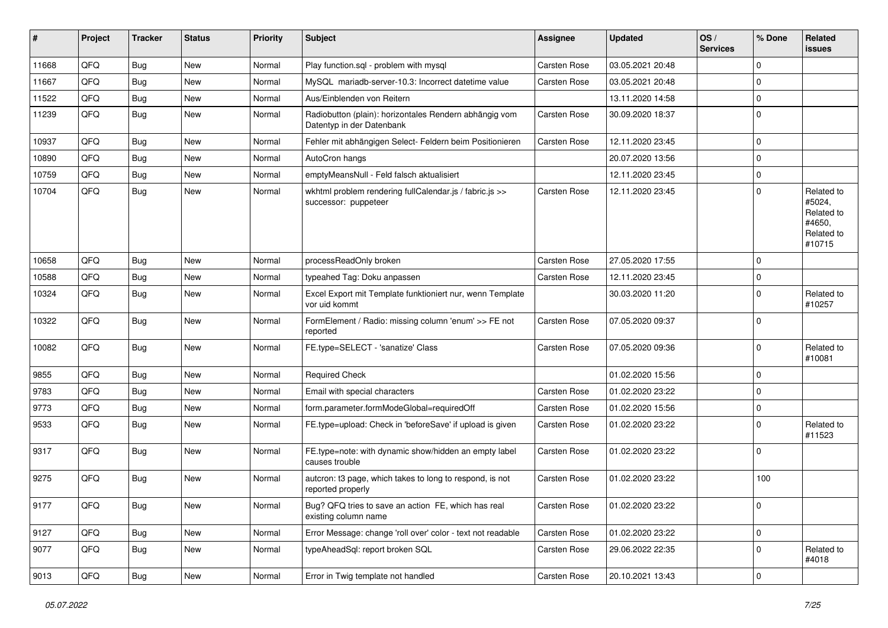| #     | Project | <b>Tracker</b> | <b>Status</b> | <b>Priority</b> | Subject                                                                             | <b>Assignee</b> | <b>Updated</b>   | OS/<br><b>Services</b> | % Done      | Related<br><b>issues</b>                                             |
|-------|---------|----------------|---------------|-----------------|-------------------------------------------------------------------------------------|-----------------|------------------|------------------------|-------------|----------------------------------------------------------------------|
| 11668 | QFQ     | <b>Bug</b>     | New           | Normal          | Play function.sql - problem with mysql                                              | Carsten Rose    | 03.05.2021 20:48 |                        | $\mathbf 0$ |                                                                      |
| 11667 | QFQ     | Bug            | <b>New</b>    | Normal          | MySQL mariadb-server-10.3: Incorrect datetime value                                 | Carsten Rose    | 03.05.2021 20:48 |                        | $\mathbf 0$ |                                                                      |
| 11522 | QFQ     | Bug            | <b>New</b>    | Normal          | Aus/Einblenden von Reitern                                                          |                 | 13.11.2020 14:58 |                        | $\mathbf 0$ |                                                                      |
| 11239 | QFQ     | <b>Bug</b>     | New           | Normal          | Radiobutton (plain): horizontales Rendern abhängig vom<br>Datentyp in der Datenbank | Carsten Rose    | 30.09.2020 18:37 |                        | $\mathbf 0$ |                                                                      |
| 10937 | QFQ     | Bug            | <b>New</b>    | Normal          | Fehler mit abhängigen Select- Feldern beim Positionieren                            | Carsten Rose    | 12.11.2020 23:45 |                        | $\pmb{0}$   |                                                                      |
| 10890 | QFQ     | Bug            | <b>New</b>    | Normal          | AutoCron hangs                                                                      |                 | 20.07.2020 13:56 |                        | $\pmb{0}$   |                                                                      |
| 10759 | QFQ     | Bug            | New           | Normal          | emptyMeansNull - Feld falsch aktualisiert                                           |                 | 12.11.2020 23:45 |                        | $\mathbf 0$ |                                                                      |
| 10704 | QFQ     | Bug            | <b>New</b>    | Normal          | wkhtml problem rendering fullCalendar.js / fabric.js >><br>successor: puppeteer     | Carsten Rose    | 12.11.2020 23:45 |                        | $\mathbf 0$ | Related to<br>#5024,<br>Related to<br>#4650,<br>Related to<br>#10715 |
| 10658 | QFQ     | Bug            | New           | Normal          | processReadOnly broken                                                              | Carsten Rose    | 27.05.2020 17:55 |                        | $\mathbf 0$ |                                                                      |
| 10588 | QFQ     | Bug            | <b>New</b>    | Normal          | typeahed Tag: Doku anpassen                                                         | Carsten Rose    | 12.11.2020 23:45 |                        | $\mathbf 0$ |                                                                      |
| 10324 | QFQ     | Bug            | <b>New</b>    | Normal          | Excel Export mit Template funktioniert nur, wenn Template<br>vor uid kommt          |                 | 30.03.2020 11:20 |                        | $\mathbf 0$ | Related to<br>#10257                                                 |
| 10322 | QFQ     | Bug            | <b>New</b>    | Normal          | FormElement / Radio: missing column 'enum' >> FE not<br>reported                    | Carsten Rose    | 07.05.2020 09:37 |                        | $\mathbf 0$ |                                                                      |
| 10082 | QFQ     | Bug            | New           | Normal          | FE.type=SELECT - 'sanatize' Class                                                   | Carsten Rose    | 07.05.2020 09:36 |                        | $\mathbf 0$ | Related to<br>#10081                                                 |
| 9855  | QFQ     | Bug            | New           | Normal          | <b>Required Check</b>                                                               |                 | 01.02.2020 15:56 |                        | $\mathbf 0$ |                                                                      |
| 9783  | QFQ     | Bug            | <b>New</b>    | Normal          | Email with special characters                                                       | Carsten Rose    | 01.02.2020 23:22 |                        | $\mathbf 0$ |                                                                      |
| 9773  | QFQ     | Bug            | <b>New</b>    | Normal          | form.parameter.formModeGlobal=requiredOff                                           | Carsten Rose    | 01.02.2020 15:56 |                        | $\mathbf 0$ |                                                                      |
| 9533  | QFQ     | Bug            | New           | Normal          | FE.type=upload: Check in 'beforeSave' if upload is given                            | Carsten Rose    | 01.02.2020 23:22 |                        | $\mathbf 0$ | Related to<br>#11523                                                 |
| 9317  | QFQ     | Bug            | <b>New</b>    | Normal          | FE.type=note: with dynamic show/hidden an empty label<br>causes trouble             | Carsten Rose    | 01.02.2020 23:22 |                        | $\mathbf 0$ |                                                                      |
| 9275  | QFQ     | Bug            | <b>New</b>    | Normal          | autcron: t3 page, which takes to long to respond, is not<br>reported properly       | Carsten Rose    | 01.02.2020 23:22 |                        | 100         |                                                                      |
| 9177  | QFQ     | Bug            | New           | Normal          | Bug? QFQ tries to save an action FE, which has real<br>existing column name         | Carsten Rose    | 01.02.2020 23:22 |                        | $\mathbf 0$ |                                                                      |
| 9127  | QFQ     | <b>Bug</b>     | New           | Normal          | Error Message: change 'roll over' color - text not readable                         | Carsten Rose    | 01.02.2020 23:22 |                        | $\mathsf 0$ |                                                                      |
| 9077  | QFQ     | <b>Bug</b>     | New           | Normal          | typeAheadSql: report broken SQL                                                     | Carsten Rose    | 29.06.2022 22:35 |                        | 0           | Related to<br>#4018                                                  |
| 9013  | QFQ     | Bug            | New           | Normal          | Error in Twig template not handled                                                  | Carsten Rose    | 20.10.2021 13:43 |                        | $\mathsf 0$ |                                                                      |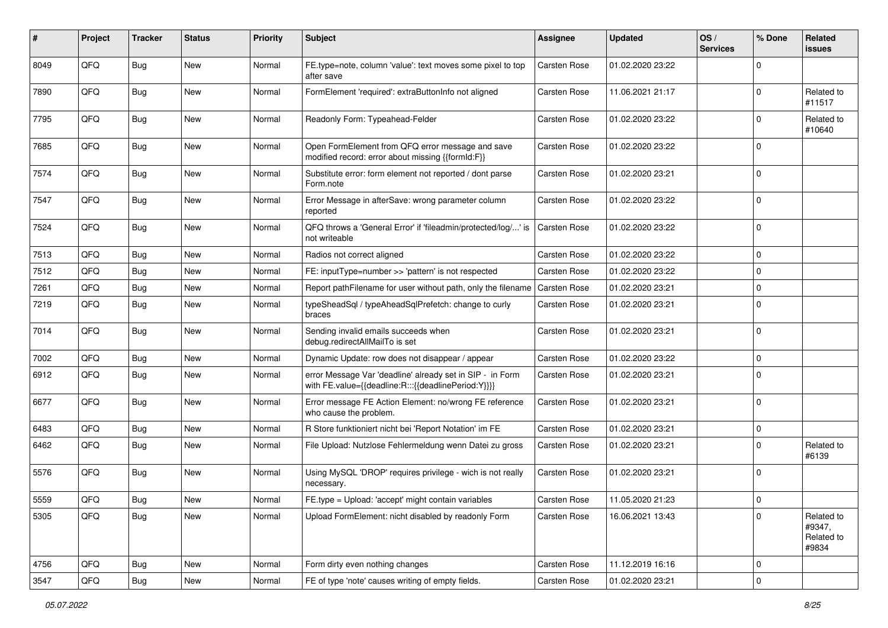| #    | Project | <b>Tracker</b> | <b>Status</b> | <b>Priority</b> | Subject                                                                                                          | <b>Assignee</b>     | <b>Updated</b>   | OS/<br><b>Services</b> | % Done      | Related<br>issues                           |
|------|---------|----------------|---------------|-----------------|------------------------------------------------------------------------------------------------------------------|---------------------|------------------|------------------------|-------------|---------------------------------------------|
| 8049 | QFQ     | <b>Bug</b>     | <b>New</b>    | Normal          | FE.type=note, column 'value': text moves some pixel to top<br>after save                                         | <b>Carsten Rose</b> | 01.02.2020 23:22 |                        | $\Omega$    |                                             |
| 7890 | QFQ     | Bug            | New           | Normal          | FormElement 'required': extraButtonInfo not aligned                                                              | Carsten Rose        | 11.06.2021 21:17 |                        | $\Omega$    | Related to<br>#11517                        |
| 7795 | QFQ     | Bug            | <b>New</b>    | Normal          | Readonly Form: Typeahead-Felder                                                                                  | Carsten Rose        | 01.02.2020 23:22 |                        | $\Omega$    | Related to<br>#10640                        |
| 7685 | QFQ     | Bug            | <b>New</b>    | Normal          | Open FormElement from QFQ error message and save<br>modified record: error about missing {{formId:F}}            | Carsten Rose        | 01.02.2020 23:22 |                        | $\mathbf 0$ |                                             |
| 7574 | QFQ     | Bug            | <b>New</b>    | Normal          | Substitute error: form element not reported / dont parse<br>Form.note                                            | Carsten Rose        | 01.02.2020 23:21 |                        | $\mathbf 0$ |                                             |
| 7547 | QFQ     | Bug            | <b>New</b>    | Normal          | Error Message in afterSave: wrong parameter column<br>reported                                                   | Carsten Rose        | 01.02.2020 23:22 |                        | $\Omega$    |                                             |
| 7524 | QFQ     | <b>Bug</b>     | <b>New</b>    | Normal          | QFQ throws a 'General Error' if 'fileadmin/protected/log/' is<br>not writeable                                   | <b>Carsten Rose</b> | 01.02.2020 23:22 |                        | $\Omega$    |                                             |
| 7513 | QFQ     | Bug            | New           | Normal          | Radios not correct aligned                                                                                       | Carsten Rose        | 01.02.2020 23:22 |                        | $\Omega$    |                                             |
| 7512 | QFQ     | <b>Bug</b>     | <b>New</b>    | Normal          | FE: inputType=number >> 'pattern' is not respected                                                               | Carsten Rose        | 01.02.2020 23:22 |                        | $\Omega$    |                                             |
| 7261 | QFQ     | Bug            | <b>New</b>    | Normal          | Report pathFilename for user without path, only the filename                                                     | <b>Carsten Rose</b> | 01.02.2020 23:21 |                        | $\Omega$    |                                             |
| 7219 | QFQ     | Bug            | <b>New</b>    | Normal          | typeSheadSql / typeAheadSqlPrefetch: change to curly<br>braces                                                   | Carsten Rose        | 01.02.2020 23:21 |                        | $\Omega$    |                                             |
| 7014 | QFQ     | Bug            | <b>New</b>    | Normal          | Sending invalid emails succeeds when<br>debug.redirectAllMailTo is set                                           | Carsten Rose        | 01.02.2020 23:21 |                        | 0           |                                             |
| 7002 | QFQ     | Bug            | <b>New</b>    | Normal          | Dynamic Update: row does not disappear / appear                                                                  | Carsten Rose        | 01.02.2020 23:22 |                        | 0           |                                             |
| 6912 | QFQ     | <b>Bug</b>     | <b>New</b>    | Normal          | error Message Var 'deadline' already set in SIP - in Form<br>with FE.value={{deadline:R:::{{deadlinePeriod:Y}}}} | Carsten Rose        | 01.02.2020 23:21 |                        | $\Omega$    |                                             |
| 6677 | QFQ     | Bug            | <b>New</b>    | Normal          | Error message FE Action Element: no/wrong FE reference<br>who cause the problem.                                 | Carsten Rose        | 01.02.2020 23:21 |                        | $\Omega$    |                                             |
| 6483 | QFQ     | Bug            | <b>New</b>    | Normal          | R Store funktioniert nicht bei 'Report Notation' im FE                                                           | Carsten Rose        | 01.02.2020 23:21 |                        | $\Omega$    |                                             |
| 6462 | QFQ     | Bug            | <b>New</b>    | Normal          | File Upload: Nutzlose Fehlermeldung wenn Datei zu gross                                                          | Carsten Rose        | 01.02.2020 23:21 |                        | $\Omega$    | Related to<br>#6139                         |
| 5576 | QFQ     | Bug            | <b>New</b>    | Normal          | Using MySQL 'DROP' requires privilege - wich is not really<br>necessary.                                         | <b>Carsten Rose</b> | 01.02.2020 23:21 |                        | $\Omega$    |                                             |
| 5559 | QFQ     | <b>Bug</b>     | New           | Normal          | FE.type = Upload: 'accept' might contain variables                                                               | Carsten Rose        | 11.05.2020 21:23 |                        | 0           |                                             |
| 5305 | QFQ     | Bug            | New           | Normal          | Upload FormElement: nicht disabled by readonly Form                                                              | Carsten Rose        | 16.06.2021 13:43 |                        | $\Omega$    | Related to<br>#9347,<br>Related to<br>#9834 |
| 4756 | QFQ     | <b>Bug</b>     | New           | Normal          | Form dirty even nothing changes                                                                                  | Carsten Rose        | 11.12.2019 16:16 |                        | $\mathbf 0$ |                                             |
| 3547 | QFQ     | Bug            | New           | Normal          | FE of type 'note' causes writing of empty fields.                                                                | Carsten Rose        | 01.02.2020 23:21 |                        | $\mathbf 0$ |                                             |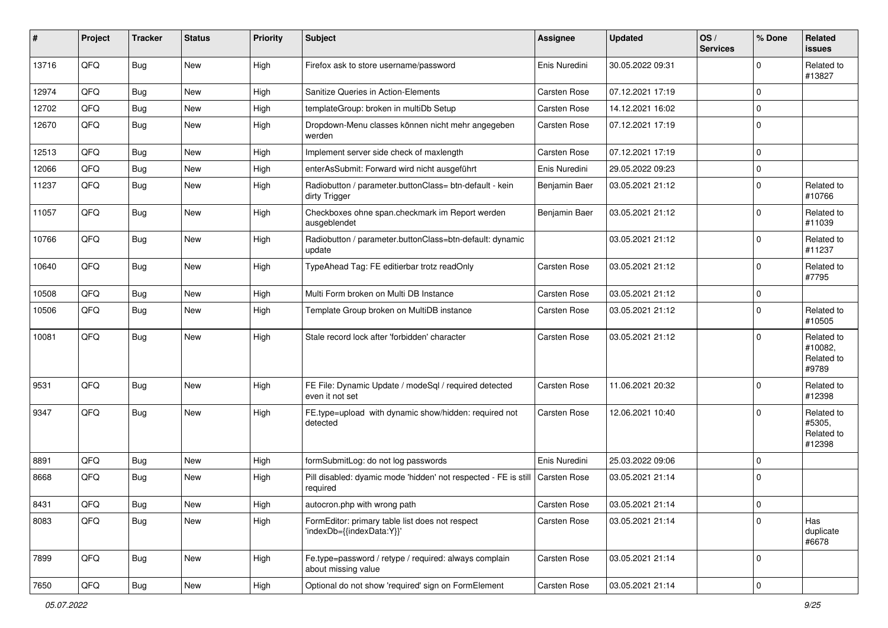| #     | Project | <b>Tracker</b> | <b>Status</b> | <b>Priority</b> | Subject                                                                      | <b>Assignee</b> | <b>Updated</b>   | OS/<br><b>Services</b> | % Done       | Related<br><b>issues</b>                     |
|-------|---------|----------------|---------------|-----------------|------------------------------------------------------------------------------|-----------------|------------------|------------------------|--------------|----------------------------------------------|
| 13716 | QFQ     | <b>Bug</b>     | New           | High            | Firefox ask to store username/password                                       | Enis Nuredini   | 30.05.2022 09:31 |                        | $\Omega$     | Related to<br>#13827                         |
| 12974 | QFQ     | Bug            | <b>New</b>    | High            | Sanitize Queries in Action-Elements                                          | Carsten Rose    | 07.12.2021 17:19 |                        | $\mathbf 0$  |                                              |
| 12702 | QFQ     | Bug            | New           | High            | templateGroup: broken in multiDb Setup                                       | Carsten Rose    | 14.12.2021 16:02 |                        | $\mathbf 0$  |                                              |
| 12670 | QFQ     | <b>Bug</b>     | <b>New</b>    | High            | Dropdown-Menu classes können nicht mehr angegeben<br>werden                  | Carsten Rose    | 07.12.2021 17:19 |                        | $\mathbf 0$  |                                              |
| 12513 | QFQ     | Bug            | <b>New</b>    | High            | Implement server side check of maxlength                                     | Carsten Rose    | 07.12.2021 17:19 |                        | $\mathbf 0$  |                                              |
| 12066 | QFQ     | Bug            | <b>New</b>    | High            | enterAsSubmit: Forward wird nicht ausgeführt                                 | Enis Nuredini   | 29.05.2022 09:23 |                        | $\mathbf 0$  |                                              |
| 11237 | QFQ     | <b>Bug</b>     | <b>New</b>    | High            | Radiobutton / parameter.buttonClass= btn-default - kein<br>dirty Trigger     | Benjamin Baer   | 03.05.2021 21:12 |                        | $\mathbf 0$  | Related to<br>#10766                         |
| 11057 | QFQ     | Bug            | <b>New</b>    | High            | Checkboxes ohne span.checkmark im Report werden<br>ausgeblendet              | Benjamin Baer   | 03.05.2021 21:12 |                        | $\mathbf 0$  | Related to<br>#11039                         |
| 10766 | QFQ     | Bug            | New           | High            | Radiobutton / parameter.buttonClass=btn-default: dynamic<br>update           |                 | 03.05.2021 21:12 |                        | $\mathbf 0$  | Related to<br>#11237                         |
| 10640 | QFQ     | Bug            | New           | High            | TypeAhead Tag: FE editierbar trotz readOnly                                  | Carsten Rose    | 03.05.2021 21:12 |                        | $\mathbf 0$  | Related to<br>#7795                          |
| 10508 | QFQ     | Bug            | <b>New</b>    | High            | Multi Form broken on Multi DB Instance                                       | Carsten Rose    | 03.05.2021 21:12 |                        | $\mathbf 0$  |                                              |
| 10506 | QFQ     | Bug            | New           | High            | Template Group broken on MultiDB instance                                    | Carsten Rose    | 03.05.2021 21:12 |                        | $\mathbf 0$  | Related to<br>#10505                         |
| 10081 | QFQ     | Bug            | <b>New</b>    | High            | Stale record lock after 'forbidden' character                                | Carsten Rose    | 03.05.2021 21:12 |                        | $\mathbf 0$  | Related to<br>#10082,<br>Related to<br>#9789 |
| 9531  | QFQ     | Bug            | <b>New</b>    | High            | FE File: Dynamic Update / modeSql / required detected<br>even it not set     | Carsten Rose    | 11.06.2021 20:32 |                        | $\mathbf 0$  | Related to<br>#12398                         |
| 9347  | QFQ     | Bug            | New           | High            | FE.type=upload with dynamic show/hidden: required not<br>detected            | Carsten Rose    | 12.06.2021 10:40 |                        | $\Omega$     | Related to<br>#5305,<br>Related to<br>#12398 |
| 8891  | QFQ     | <b>Bug</b>     | <b>New</b>    | High            | formSubmitLog: do not log passwords                                          | Enis Nuredini   | 25.03.2022 09:06 |                        | $\mathbf 0$  |                                              |
| 8668  | QFQ     | Bug            | New           | High            | Pill disabled: dyamic mode 'hidden' not respected - FE is still<br>required  | Carsten Rose    | 03.05.2021 21:14 |                        | $\mathbf 0$  |                                              |
| 8431  | QFQ     | Bug            | New           | High            | autocron.php with wrong path                                                 | Carsten Rose    | 03.05.2021 21:14 |                        | $\mathbf{0}$ |                                              |
| 8083  | QFQ     | <b>Bug</b>     | New           | High            | FormEditor: primary table list does not respect<br>'indexDb={{indexData:Y}}' | Carsten Rose    | 03.05.2021 21:14 |                        | $\mathbf 0$  | Has<br>duplicate<br>#6678                    |
| 7899  | QFQ     | Bug            | New           | High            | Fe.type=password / retype / required: always complain<br>about missing value | Carsten Rose    | 03.05.2021 21:14 |                        | $\mathbf 0$  |                                              |
| 7650  | QFQ     | Bug            | New           | High            | Optional do not show 'required' sign on FormElement                          | Carsten Rose    | 03.05.2021 21:14 |                        | $\mathbf 0$  |                                              |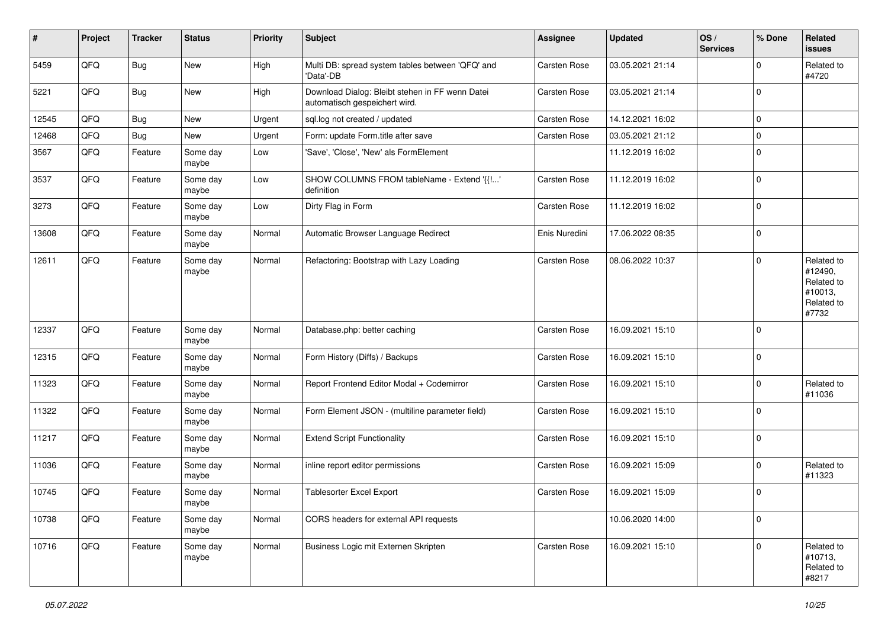| $\vert$ # | Project | <b>Tracker</b> | <b>Status</b>     | <b>Priority</b> | <b>Subject</b>                                                                   | <b>Assignee</b> | <b>Updated</b>   | OS/<br><b>Services</b> | % Done      | Related<br>issues                                                     |
|-----------|---------|----------------|-------------------|-----------------|----------------------------------------------------------------------------------|-----------------|------------------|------------------------|-------------|-----------------------------------------------------------------------|
| 5459      | QFQ     | Bug            | New               | High            | Multi DB: spread system tables between 'QFQ' and<br>'Data'-DB                    | Carsten Rose    | 03.05.2021 21:14 |                        | $\Omega$    | Related to<br>#4720                                                   |
| 5221      | QFQ     | Bug            | New               | High            | Download Dialog: Bleibt stehen in FF wenn Datei<br>automatisch gespeichert wird. | Carsten Rose    | 03.05.2021 21:14 |                        | $\Omega$    |                                                                       |
| 12545     | QFQ     | <b>Bug</b>     | New               | Urgent          | sql.log not created / updated                                                    | Carsten Rose    | 14.12.2021 16:02 |                        | $\mathbf 0$ |                                                                       |
| 12468     | QFQ     | Bug            | New               | Urgent          | Form: update Form.title after save                                               | Carsten Rose    | 03.05.2021 21:12 |                        | $\mathbf 0$ |                                                                       |
| 3567      | QFQ     | Feature        | Some day<br>maybe | Low             | 'Save', 'Close', 'New' als FormElement                                           |                 | 11.12.2019 16:02 |                        | $\mathbf 0$ |                                                                       |
| 3537      | QFQ     | Feature        | Some day<br>maybe | Low             | SHOW COLUMNS FROM tableName - Extend '{{!'<br>definition                         | Carsten Rose    | 11.12.2019 16:02 |                        | $\mathbf 0$ |                                                                       |
| 3273      | QFQ     | Feature        | Some day<br>maybe | Low             | Dirty Flag in Form                                                               | Carsten Rose    | 11.12.2019 16:02 |                        | $\Omega$    |                                                                       |
| 13608     | QFQ     | Feature        | Some day<br>maybe | Normal          | Automatic Browser Language Redirect                                              | Enis Nuredini   | 17.06.2022 08:35 |                        | $\mathbf 0$ |                                                                       |
| 12611     | QFQ     | Feature        | Some day<br>maybe | Normal          | Refactoring: Bootstrap with Lazy Loading                                         | Carsten Rose    | 08.06.2022 10:37 |                        | $\mathbf 0$ | Related to<br>#12490,<br>Related to<br>#10013,<br>Related to<br>#7732 |
| 12337     | QFQ     | Feature        | Some day<br>maybe | Normal          | Database.php: better caching                                                     | Carsten Rose    | 16.09.2021 15:10 |                        | $\mathbf 0$ |                                                                       |
| 12315     | QFQ     | Feature        | Some day<br>maybe | Normal          | Form History (Diffs) / Backups                                                   | Carsten Rose    | 16.09.2021 15:10 |                        | 0           |                                                                       |
| 11323     | QFQ     | Feature        | Some day<br>maybe | Normal          | Report Frontend Editor Modal + Codemirror                                        | Carsten Rose    | 16.09.2021 15:10 |                        | $\Omega$    | Related to<br>#11036                                                  |
| 11322     | QFQ     | Feature        | Some day<br>maybe | Normal          | Form Element JSON - (multiline parameter field)                                  | Carsten Rose    | 16.09.2021 15:10 |                        | $\Omega$    |                                                                       |
| 11217     | QFQ     | Feature        | Some day<br>maybe | Normal          | <b>Extend Script Functionality</b>                                               | Carsten Rose    | 16.09.2021 15:10 |                        | $\mathbf 0$ |                                                                       |
| 11036     | QFQ     | Feature        | Some day<br>maybe | Normal          | inline report editor permissions                                                 | Carsten Rose    | 16.09.2021 15:09 |                        | $\Omega$    | Related to<br>#11323                                                  |
| 10745     | QFQ     | Feature        | Some day<br>maybe | Normal          | Tablesorter Excel Export                                                         | Carsten Rose    | 16.09.2021 15:09 |                        | $\Omega$    |                                                                       |
| 10738     | QFQ     | Feature        | Some day<br>maybe | Normal          | CORS headers for external API requests                                           |                 | 10.06.2020 14:00 |                        | $\mathbf 0$ |                                                                       |
| 10716     | QFG     | Feature        | Some day<br>maybe | Normal          | Business Logic mit Externen Skripten                                             | Carsten Rose    | 16.09.2021 15:10 |                        | $\Omega$    | Related to<br>#10713,<br>Related to<br>#8217                          |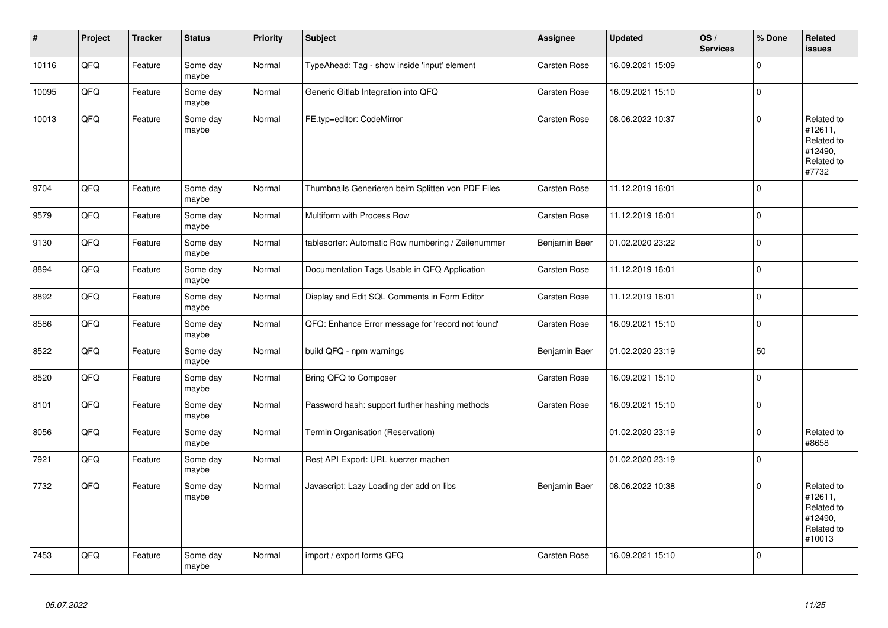| $\pmb{\#}$ | Project | <b>Tracker</b> | <b>Status</b>     | Priority | <b>Subject</b>                                     | <b>Assignee</b> | Updated          | OS/<br><b>Services</b> | % Done      | Related<br><b>issues</b>                                               |
|------------|---------|----------------|-------------------|----------|----------------------------------------------------|-----------------|------------------|------------------------|-------------|------------------------------------------------------------------------|
| 10116      | QFQ     | Feature        | Some day<br>maybe | Normal   | TypeAhead: Tag - show inside 'input' element       | Carsten Rose    | 16.09.2021 15:09 |                        | $\mathbf 0$ |                                                                        |
| 10095      | QFQ     | Feature        | Some day<br>maybe | Normal   | Generic Gitlab Integration into QFQ                | Carsten Rose    | 16.09.2021 15:10 |                        | $\mathbf 0$ |                                                                        |
| 10013      | QFQ     | Feature        | Some day<br>maybe | Normal   | FE.typ=editor: CodeMirror                          | Carsten Rose    | 08.06.2022 10:37 |                        | $\mathsf 0$ | Related to<br>#12611,<br>Related to<br>#12490,<br>Related to<br>#7732  |
| 9704       | QFQ     | Feature        | Some day<br>maybe | Normal   | Thumbnails Generieren beim Splitten von PDF Files  | Carsten Rose    | 11.12.2019 16:01 |                        | $\mathbf 0$ |                                                                        |
| 9579       | QFQ     | Feature        | Some day<br>maybe | Normal   | Multiform with Process Row                         | Carsten Rose    | 11.12.2019 16:01 |                        | $\mathsf 0$ |                                                                        |
| 9130       | QFQ     | Feature        | Some day<br>maybe | Normal   | tablesorter: Automatic Row numbering / Zeilenummer | Benjamin Baer   | 01.02.2020 23:22 |                        | $\mathbf 0$ |                                                                        |
| 8894       | QFQ     | Feature        | Some day<br>maybe | Normal   | Documentation Tags Usable in QFQ Application       | Carsten Rose    | 11.12.2019 16:01 |                        | $\mathbf 0$ |                                                                        |
| 8892       | QFQ     | Feature        | Some day<br>maybe | Normal   | Display and Edit SQL Comments in Form Editor       | Carsten Rose    | 11.12.2019 16:01 |                        | $\pmb{0}$   |                                                                        |
| 8586       | QFQ     | Feature        | Some day<br>maybe | Normal   | QFQ: Enhance Error message for 'record not found'  | Carsten Rose    | 16.09.2021 15:10 |                        | $\mathbf 0$ |                                                                        |
| 8522       | QFQ     | Feature        | Some day<br>maybe | Normal   | build QFQ - npm warnings                           | Benjamin Baer   | 01.02.2020 23:19 |                        | 50          |                                                                        |
| 8520       | QFQ     | Feature        | Some day<br>maybe | Normal   | Bring QFQ to Composer                              | Carsten Rose    | 16.09.2021 15:10 |                        | $\pmb{0}$   |                                                                        |
| 8101       | QFQ     | Feature        | Some day<br>maybe | Normal   | Password hash: support further hashing methods     | Carsten Rose    | 16.09.2021 15:10 |                        | $\mathsf 0$ |                                                                        |
| 8056       | QFQ     | Feature        | Some day<br>maybe | Normal   | Termin Organisation (Reservation)                  |                 | 01.02.2020 23:19 |                        | $\mathsf 0$ | Related to<br>#8658                                                    |
| 7921       | QFQ     | Feature        | Some day<br>maybe | Normal   | Rest API Export: URL kuerzer machen                |                 | 01.02.2020 23:19 |                        | $\mathbf 0$ |                                                                        |
| 7732       | QFQ     | Feature        | Some day<br>maybe | Normal   | Javascript: Lazy Loading der add on libs           | Benjamin Baer   | 08.06.2022 10:38 |                        | $\mathbf 0$ | Related to<br>#12611,<br>Related to<br>#12490,<br>Related to<br>#10013 |
| 7453       | QFQ     | Feature        | Some day<br>maybe | Normal   | import / export forms QFQ                          | Carsten Rose    | 16.09.2021 15:10 |                        | $\pmb{0}$   |                                                                        |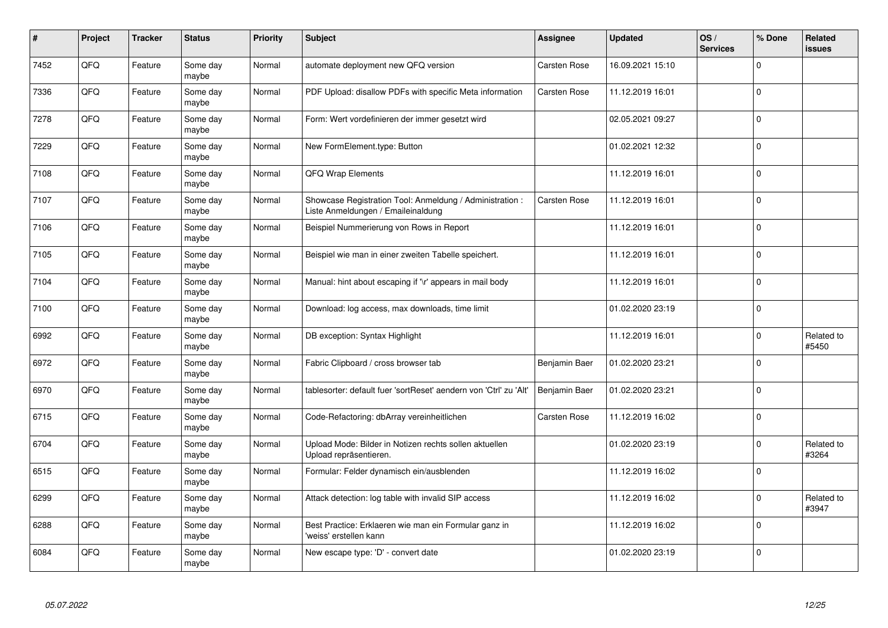| $\pmb{\sharp}$ | Project | <b>Tracker</b> | <b>Status</b>     | <b>Priority</b> | <b>Subject</b>                                                                                 | <b>Assignee</b> | <b>Updated</b>   | OS/<br><b>Services</b> | % Done      | Related<br><b>issues</b> |
|----------------|---------|----------------|-------------------|-----------------|------------------------------------------------------------------------------------------------|-----------------|------------------|------------------------|-------------|--------------------------|
| 7452           | QFQ     | Feature        | Some day<br>maybe | Normal          | automate deployment new QFQ version                                                            | Carsten Rose    | 16.09.2021 15:10 |                        | $\Omega$    |                          |
| 7336           | QFQ     | Feature        | Some day<br>maybe | Normal          | PDF Upload: disallow PDFs with specific Meta information                                       | Carsten Rose    | 11.12.2019 16:01 |                        | $\Omega$    |                          |
| 7278           | QFQ     | Feature        | Some day<br>maybe | Normal          | Form: Wert vordefinieren der immer gesetzt wird                                                |                 | 02.05.2021 09:27 |                        | $\Omega$    |                          |
| 7229           | QFQ     | Feature        | Some day<br>maybe | Normal          | New FormElement.type: Button                                                                   |                 | 01.02.2021 12:32 |                        | $\Omega$    |                          |
| 7108           | QFQ     | Feature        | Some day<br>maybe | Normal          | <b>QFQ Wrap Elements</b>                                                                       |                 | 11.12.2019 16:01 |                        | l 0         |                          |
| 7107           | QFQ     | Feature        | Some day<br>maybe | Normal          | Showcase Registration Tool: Anmeldung / Administration :<br>Liste Anmeldungen / Emaileinaldung | Carsten Rose    | 11.12.2019 16:01 |                        | $\Omega$    |                          |
| 7106           | QFQ     | Feature        | Some day<br>maybe | Normal          | Beispiel Nummerierung von Rows in Report                                                       |                 | 11.12.2019 16:01 |                        | l O         |                          |
| 7105           | QFQ     | Feature        | Some day<br>maybe | Normal          | Beispiel wie man in einer zweiten Tabelle speichert.                                           |                 | 11.12.2019 16:01 |                        | $\Omega$    |                          |
| 7104           | QFQ     | Feature        | Some day<br>maybe | Normal          | Manual: hint about escaping if '\r' appears in mail body                                       |                 | 11.12.2019 16:01 |                        | $\Omega$    |                          |
| 7100           | QFQ     | Feature        | Some day<br>maybe | Normal          | Download: log access, max downloads, time limit                                                |                 | 01.02.2020 23:19 |                        | $\Omega$    |                          |
| 6992           | QFQ     | Feature        | Some day<br>maybe | Normal          | DB exception: Syntax Highlight                                                                 |                 | 11.12.2019 16:01 |                        | $\mathbf 0$ | Related to<br>#5450      |
| 6972           | QFQ     | Feature        | Some day<br>maybe | Normal          | Fabric Clipboard / cross browser tab                                                           | Benjamin Baer   | 01.02.2020 23:21 |                        | $\mathbf 0$ |                          |
| 6970           | QFQ     | Feature        | Some day<br>maybe | Normal          | tablesorter: default fuer 'sortReset' aendern von 'Ctrl' zu 'Alt'                              | Benjamin Baer   | 01.02.2020 23:21 |                        | $\Omega$    |                          |
| 6715           | QFQ     | Feature        | Some day<br>maybe | Normal          | Code-Refactoring: dbArray vereinheitlichen                                                     | Carsten Rose    | 11.12.2019 16:02 |                        | $\mathbf 0$ |                          |
| 6704           | QFQ     | Feature        | Some day<br>maybe | Normal          | Upload Mode: Bilder in Notizen rechts sollen aktuellen<br>Upload repräsentieren.               |                 | 01.02.2020 23:19 |                        | $\Omega$    | Related to<br>#3264      |
| 6515           | QFQ     | Feature        | Some day<br>maybe | Normal          | Formular: Felder dynamisch ein/ausblenden                                                      |                 | 11.12.2019 16:02 |                        | $\Omega$    |                          |
| 6299           | QFQ     | Feature        | Some day<br>maybe | Normal          | Attack detection: log table with invalid SIP access                                            |                 | 11.12.2019 16:02 |                        | $\Omega$    | Related to<br>#3947      |
| 6288           | QFQ     | Feature        | Some day<br>maybe | Normal          | Best Practice: Erklaeren wie man ein Formular ganz in<br>'weiss' erstellen kann                |                 | 11.12.2019 16:02 |                        | $\mathbf 0$ |                          |
| 6084           | QFQ     | Feature        | Some day<br>maybe | Normal          | New escape type: 'D' - convert date                                                            |                 | 01.02.2020 23:19 |                        | $\Omega$    |                          |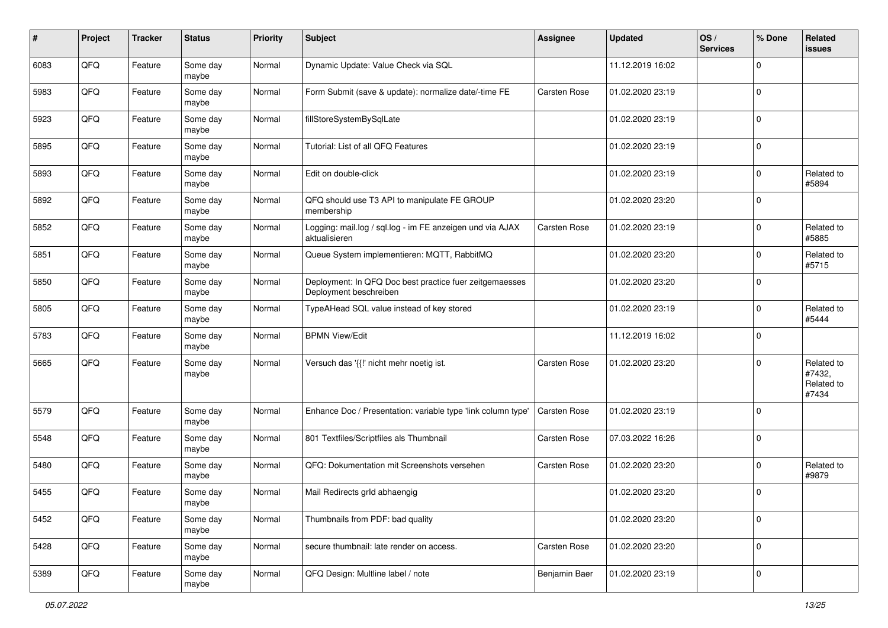| $\pmb{\#}$ | Project | <b>Tracker</b> | <b>Status</b>     | <b>Priority</b> | Subject                                                                           | <b>Assignee</b> | <b>Updated</b>   | OS/<br><b>Services</b> | % Done      | Related<br><b>issues</b>                    |
|------------|---------|----------------|-------------------|-----------------|-----------------------------------------------------------------------------------|-----------------|------------------|------------------------|-------------|---------------------------------------------|
| 6083       | QFQ     | Feature        | Some day<br>maybe | Normal          | Dynamic Update: Value Check via SQL                                               |                 | 11.12.2019 16:02 |                        | $\mathbf 0$ |                                             |
| 5983       | QFQ     | Feature        | Some day<br>maybe | Normal          | Form Submit (save & update): normalize date/-time FE                              | Carsten Rose    | 01.02.2020 23:19 |                        | $\mathbf 0$ |                                             |
| 5923       | QFQ     | Feature        | Some day<br>maybe | Normal          | fillStoreSystemBySqlLate                                                          |                 | 01.02.2020 23:19 |                        | $\mathbf 0$ |                                             |
| 5895       | QFQ     | Feature        | Some day<br>maybe | Normal          | Tutorial: List of all QFQ Features                                                |                 | 01.02.2020 23:19 |                        | $\mathbf 0$ |                                             |
| 5893       | QFQ     | Feature        | Some day<br>maybe | Normal          | Edit on double-click                                                              |                 | 01.02.2020 23:19 |                        | $\mathbf 0$ | Related to<br>#5894                         |
| 5892       | QFQ     | Feature        | Some day<br>maybe | Normal          | QFQ should use T3 API to manipulate FE GROUP<br>membership                        |                 | 01.02.2020 23:20 |                        | $\mathbf 0$ |                                             |
| 5852       | QFQ     | Feature        | Some day<br>maybe | Normal          | Logging: mail.log / sql.log - im FE anzeigen und via AJAX<br>aktualisieren        | Carsten Rose    | 01.02.2020 23:19 |                        | $\mathbf 0$ | Related to<br>#5885                         |
| 5851       | QFQ     | Feature        | Some day<br>maybe | Normal          | Queue System implementieren: MQTT, RabbitMQ                                       |                 | 01.02.2020 23:20 |                        | $\mathbf 0$ | Related to<br>#5715                         |
| 5850       | QFQ     | Feature        | Some day<br>maybe | Normal          | Deployment: In QFQ Doc best practice fuer zeitgemaesses<br>Deployment beschreiben |                 | 01.02.2020 23:20 |                        | $\mathbf 0$ |                                             |
| 5805       | QFQ     | Feature        | Some day<br>maybe | Normal          | TypeAHead SQL value instead of key stored                                         |                 | 01.02.2020 23:19 |                        | $\mathbf 0$ | Related to<br>#5444                         |
| 5783       | QFQ     | Feature        | Some day<br>maybe | Normal          | <b>BPMN View/Edit</b>                                                             |                 | 11.12.2019 16:02 |                        | $\mathbf 0$ |                                             |
| 5665       | QFQ     | Feature        | Some day<br>maybe | Normal          | Versuch das '{{!' nicht mehr noetig ist.                                          | Carsten Rose    | 01.02.2020 23:20 |                        | $\mathbf 0$ | Related to<br>#7432,<br>Related to<br>#7434 |
| 5579       | QFQ     | Feature        | Some day<br>maybe | Normal          | Enhance Doc / Presentation: variable type 'link column type'                      | Carsten Rose    | 01.02.2020 23:19 |                        | $\mathbf 0$ |                                             |
| 5548       | QFQ     | Feature        | Some day<br>maybe | Normal          | 801 Textfiles/Scriptfiles als Thumbnail                                           | Carsten Rose    | 07.03.2022 16:26 |                        | $\mathbf 0$ |                                             |
| 5480       | QFQ     | Feature        | Some day<br>maybe | Normal          | QFQ: Dokumentation mit Screenshots versehen                                       | Carsten Rose    | 01.02.2020 23:20 |                        | $\mathbf 0$ | Related to<br>#9879                         |
| 5455       | QFQ     | Feature        | Some day<br>maybe | Normal          | Mail Redirects grld abhaengig                                                     |                 | 01.02.2020 23:20 |                        | $\mathbf 0$ |                                             |
| 5452       | QFQ     | Feature        | Some day<br>maybe | Normal          | Thumbnails from PDF: bad quality                                                  |                 | 01.02.2020 23:20 |                        | $\mathbf 0$ |                                             |
| 5428       | QFQ     | Feature        | Some day<br>maybe | Normal          | secure thumbnail: late render on access.                                          | Carsten Rose    | 01.02.2020 23:20 |                        | $\mathbf 0$ |                                             |
| 5389       | QFG     | Feature        | Some day<br>maybe | Normal          | QFQ Design: Multline label / note                                                 | Benjamin Baer   | 01.02.2020 23:19 |                        | $\mathsf 0$ |                                             |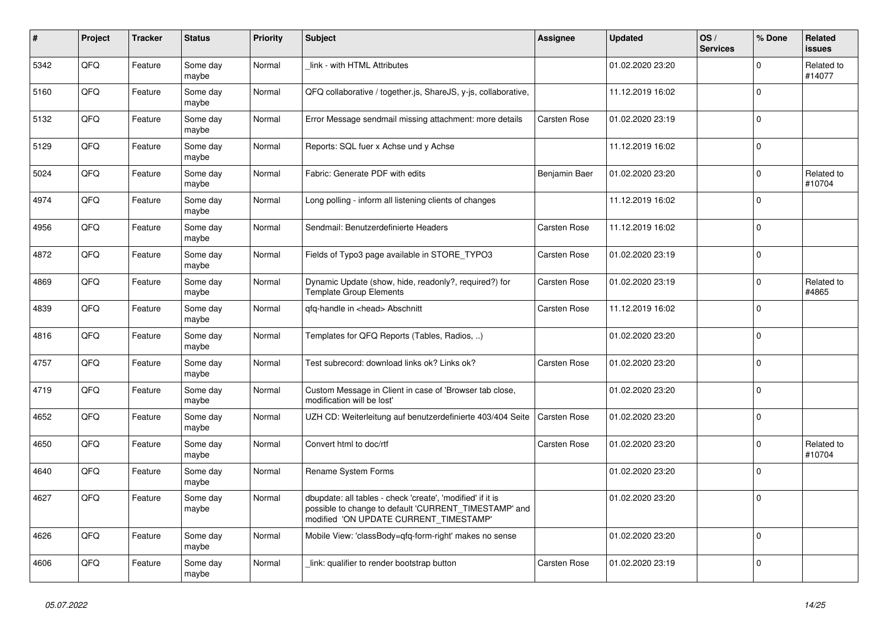| $\sharp$ | Project | <b>Tracker</b> | <b>Status</b>     | <b>Priority</b> | <b>Subject</b>                                                                                                                                                | <b>Assignee</b>     | <b>Updated</b>   | OS/<br><b>Services</b> | % Done      | Related<br><b>issues</b> |
|----------|---------|----------------|-------------------|-----------------|---------------------------------------------------------------------------------------------------------------------------------------------------------------|---------------------|------------------|------------------------|-------------|--------------------------|
| 5342     | QFQ     | Feature        | Some day<br>maybe | Normal          | link - with HTML Attributes                                                                                                                                   |                     | 01.02.2020 23:20 |                        | $\Omega$    | Related to<br>#14077     |
| 5160     | QFQ     | Feature        | Some day<br>maybe | Normal          | QFQ collaborative / together.js, ShareJS, y-js, collaborative,                                                                                                |                     | 11.12.2019 16:02 |                        | $\mathbf 0$ |                          |
| 5132     | QFQ     | Feature        | Some day<br>maybe | Normal          | Error Message sendmail missing attachment: more details                                                                                                       | Carsten Rose        | 01.02.2020 23:19 |                        | $\Omega$    |                          |
| 5129     | QFQ     | Feature        | Some day<br>maybe | Normal          | Reports: SQL fuer x Achse und y Achse                                                                                                                         |                     | 11.12.2019 16:02 |                        | $\Omega$    |                          |
| 5024     | QFQ     | Feature        | Some day<br>maybe | Normal          | Fabric: Generate PDF with edits                                                                                                                               | Benjamin Baer       | 01.02.2020 23:20 |                        | $\mathbf 0$ | Related to<br>#10704     |
| 4974     | QFQ     | Feature        | Some day<br>maybe | Normal          | Long polling - inform all listening clients of changes                                                                                                        |                     | 11.12.2019 16:02 |                        | $\Omega$    |                          |
| 4956     | QFQ     | Feature        | Some day<br>maybe | Normal          | Sendmail: Benutzerdefinierte Headers                                                                                                                          | Carsten Rose        | 11.12.2019 16:02 |                        | $\Omega$    |                          |
| 4872     | QFQ     | Feature        | Some day<br>maybe | Normal          | Fields of Typo3 page available in STORE_TYPO3                                                                                                                 | Carsten Rose        | 01.02.2020 23:19 |                        | $\Omega$    |                          |
| 4869     | QFQ     | Feature        | Some day<br>maybe | Normal          | Dynamic Update (show, hide, readonly?, required?) for<br>Template Group Elements                                                                              | Carsten Rose        | 01.02.2020 23:19 |                        | $\Omega$    | Related to<br>#4865      |
| 4839     | QFQ     | Feature        | Some day<br>maybe | Normal          | qfq-handle in <head> Abschnitt</head>                                                                                                                         | Carsten Rose        | 11.12.2019 16:02 |                        | $\mathbf 0$ |                          |
| 4816     | QFQ     | Feature        | Some day<br>maybe | Normal          | Templates for QFQ Reports (Tables, Radios, )                                                                                                                  |                     | 01.02.2020 23:20 |                        | $\mathbf 0$ |                          |
| 4757     | QFQ     | Feature        | Some day<br>maybe | Normal          | Test subrecord: download links ok? Links ok?                                                                                                                  | Carsten Rose        | 01.02.2020 23:20 |                        | $\mathbf 0$ |                          |
| 4719     | QFQ     | Feature        | Some day<br>maybe | Normal          | Custom Message in Client in case of 'Browser tab close,<br>modification will be lost'                                                                         |                     | 01.02.2020 23:20 |                        | $\Omega$    |                          |
| 4652     | QFQ     | Feature        | Some day<br>maybe | Normal          | UZH CD: Weiterleitung auf benutzerdefinierte 403/404 Seite                                                                                                    | <b>Carsten Rose</b> | 01.02.2020 23:20 |                        | $\mathbf 0$ |                          |
| 4650     | QFQ     | Feature        | Some day<br>maybe | Normal          | Convert html to doc/rtf                                                                                                                                       | Carsten Rose        | 01.02.2020 23:20 |                        | $\Omega$    | Related to<br>#10704     |
| 4640     | QFQ     | Feature        | Some day<br>maybe | Normal          | Rename System Forms                                                                                                                                           |                     | 01.02.2020 23:20 |                        | $\Omega$    |                          |
| 4627     | QFQ     | Feature        | Some day<br>maybe | Normal          | dbupdate: all tables - check 'create', 'modified' if it is<br>possible to change to default 'CURRENT_TIMESTAMP' and<br>modified 'ON UPDATE CURRENT TIMESTAMP' |                     | 01.02.2020 23:20 |                        | $\mathbf 0$ |                          |
| 4626     | QFQ     | Feature        | Some day<br>maybe | Normal          | Mobile View: 'classBody=qfq-form-right' makes no sense                                                                                                        |                     | 01.02.2020 23:20 |                        | $\Omega$    |                          |
| 4606     | QFQ     | Feature        | Some day<br>maybe | Normal          | link: qualifier to render bootstrap button                                                                                                                    | Carsten Rose        | 01.02.2020 23:19 |                        | $\Omega$    |                          |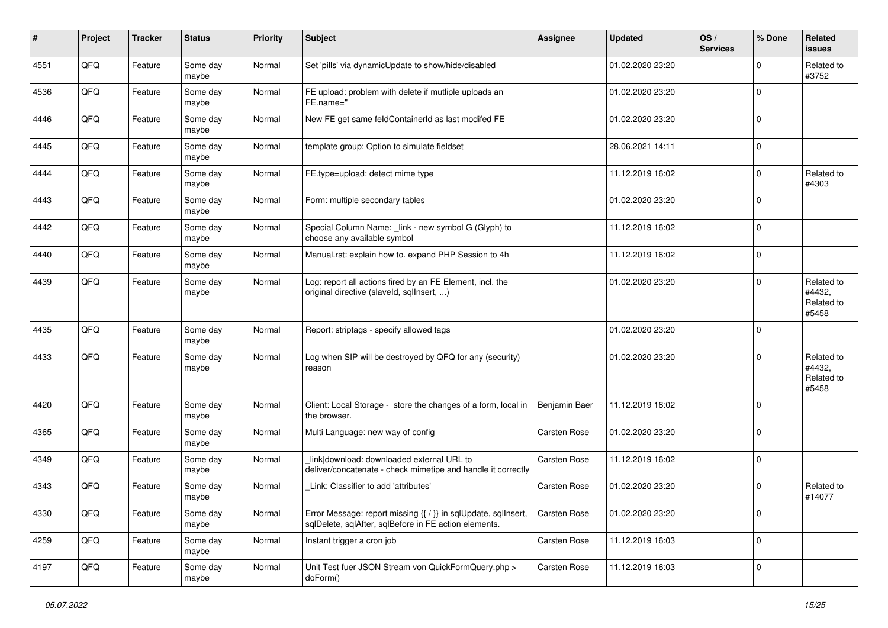| $\sharp$ | Project | <b>Tracker</b> | <b>Status</b>     | <b>Priority</b> | <b>Subject</b>                                                                                                          | <b>Assignee</b> | <b>Updated</b>   | OS/<br><b>Services</b> | % Done      | Related<br><b>issues</b>                    |
|----------|---------|----------------|-------------------|-----------------|-------------------------------------------------------------------------------------------------------------------------|-----------------|------------------|------------------------|-------------|---------------------------------------------|
| 4551     | QFQ     | Feature        | Some day<br>maybe | Normal          | Set 'pills' via dynamicUpdate to show/hide/disabled                                                                     |                 | 01.02.2020 23:20 |                        | $\Omega$    | Related to<br>#3752                         |
| 4536     | QFQ     | Feature        | Some day<br>maybe | Normal          | FE upload: problem with delete if mutliple uploads an<br>FE.name="                                                      |                 | 01.02.2020 23:20 |                        | $\mathbf 0$ |                                             |
| 4446     | QFQ     | Feature        | Some day<br>maybe | Normal          | New FE get same feldContainerId as last modifed FE                                                                      |                 | 01.02.2020 23:20 |                        | $\Omega$    |                                             |
| 4445     | QFQ     | Feature        | Some day<br>maybe | Normal          | template group: Option to simulate fieldset                                                                             |                 | 28.06.2021 14:11 |                        | $\mathbf 0$ |                                             |
| 4444     | QFQ     | Feature        | Some day<br>maybe | Normal          | FE.type=upload: detect mime type                                                                                        |                 | 11.12.2019 16:02 |                        | $\mathbf 0$ | Related to<br>#4303                         |
| 4443     | QFQ     | Feature        | Some day<br>maybe | Normal          | Form: multiple secondary tables                                                                                         |                 | 01.02.2020 23:20 |                        | $\Omega$    |                                             |
| 4442     | QFQ     | Feature        | Some day<br>maybe | Normal          | Special Column Name: _link - new symbol G (Glyph) to<br>choose any available symbol                                     |                 | 11.12.2019 16:02 |                        | $\Omega$    |                                             |
| 4440     | QFQ     | Feature        | Some day<br>maybe | Normal          | Manual.rst: explain how to. expand PHP Session to 4h                                                                    |                 | 11.12.2019 16:02 |                        | $\mathbf 0$ |                                             |
| 4439     | QFQ     | Feature        | Some day<br>maybe | Normal          | Log: report all actions fired by an FE Element, incl. the<br>original directive (slaveld, sqlInsert, )                  |                 | 01.02.2020 23:20 |                        | $\mathbf 0$ | Related to<br>#4432,<br>Related to<br>#5458 |
| 4435     | QFQ     | Feature        | Some day<br>maybe | Normal          | Report: striptags - specify allowed tags                                                                                |                 | 01.02.2020 23:20 |                        | $\mathbf 0$ |                                             |
| 4433     | QFQ     | Feature        | Some day<br>maybe | Normal          | Log when SIP will be destroyed by QFQ for any (security)<br>reason                                                      |                 | 01.02.2020 23:20 |                        | $\Omega$    | Related to<br>#4432,<br>Related to<br>#5458 |
| 4420     | QFQ     | Feature        | Some day<br>maybe | Normal          | Client: Local Storage - store the changes of a form, local in<br>the browser.                                           | Benjamin Baer   | 11.12.2019 16:02 |                        | $\mathbf 0$ |                                             |
| 4365     | QFQ     | Feature        | Some day<br>maybe | Normal          | Multi Language: new way of config                                                                                       | Carsten Rose    | 01.02.2020 23:20 |                        | $\mathbf 0$ |                                             |
| 4349     | QFQ     | Feature        | Some day<br>maybe | Normal          | link download: downloaded external URL to<br>deliver/concatenate - check mimetipe and handle it correctly               | Carsten Rose    | 11.12.2019 16:02 |                        | 0           |                                             |
| 4343     | QFQ     | Feature        | Some day<br>maybe | Normal          | Link: Classifier to add 'attributes'                                                                                    | Carsten Rose    | 01.02.2020 23:20 |                        | $\Omega$    | Related to<br>#14077                        |
| 4330     | QFG     | Feature        | Some day<br>maybe | Normal          | Error Message: report missing {{ / }} in sqlUpdate, sqlInsert,<br>sqlDelete, sqlAfter, sqlBefore in FE action elements. | Carsten Rose    | 01.02.2020 23:20 |                        | 0           |                                             |
| 4259     | QFQ     | Feature        | Some day<br>maybe | Normal          | Instant trigger a cron job                                                                                              | Carsten Rose    | 11.12.2019 16:03 |                        | $\mathbf 0$ |                                             |
| 4197     | QFQ     | Feature        | Some day<br>maybe | Normal          | Unit Test fuer JSON Stream von QuickFormQuery.php ><br>doForm()                                                         | Carsten Rose    | 11.12.2019 16:03 |                        | $\mathbf 0$ |                                             |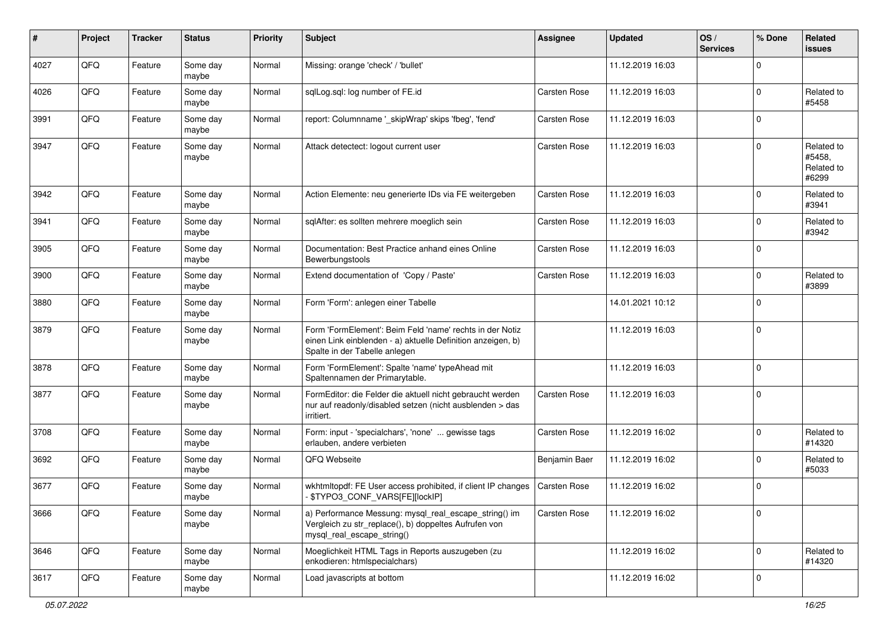| $\sharp$ | Project | <b>Tracker</b> | <b>Status</b>     | <b>Priority</b> | Subject                                                                                                                                                  | <b>Assignee</b>     | <b>Updated</b>   | OS/<br><b>Services</b> | % Done              | Related<br><b>issues</b>                    |
|----------|---------|----------------|-------------------|-----------------|----------------------------------------------------------------------------------------------------------------------------------------------------------|---------------------|------------------|------------------------|---------------------|---------------------------------------------|
| 4027     | QFQ     | Feature        | Some day<br>maybe | Normal          | Missing: orange 'check' / 'bullet'                                                                                                                       |                     | 11.12.2019 16:03 |                        | $\mathbf 0$         |                                             |
| 4026     | QFQ     | Feature        | Some day<br>maybe | Normal          | sqlLog.sql: log number of FE.id                                                                                                                          | Carsten Rose        | 11.12.2019 16:03 |                        | $\mathbf 0$         | Related to<br>#5458                         |
| 3991     | QFQ     | Feature        | Some day<br>maybe | Normal          | report: Columnname '_skipWrap' skips 'fbeg', 'fend'                                                                                                      | Carsten Rose        | 11.12.2019 16:03 |                        | $\mathbf 0$         |                                             |
| 3947     | QFQ     | Feature        | Some day<br>maybe | Normal          | Attack detectect: logout current user                                                                                                                    | Carsten Rose        | 11.12.2019 16:03 |                        | $\mathbf 0$         | Related to<br>#5458,<br>Related to<br>#6299 |
| 3942     | QFQ     | Feature        | Some day<br>maybe | Normal          | Action Elemente: neu generierte IDs via FE weitergeben                                                                                                   | <b>Carsten Rose</b> | 11.12.2019 16:03 |                        | $\mathbf 0$         | Related to<br>#3941                         |
| 3941     | QFQ     | Feature        | Some day<br>maybe | Normal          | sqlAfter: es sollten mehrere moeglich sein                                                                                                               | Carsten Rose        | 11.12.2019 16:03 |                        | $\mathbf 0$         | Related to<br>#3942                         |
| 3905     | QFQ     | Feature        | Some day<br>maybe | Normal          | Documentation: Best Practice anhand eines Online<br>Bewerbungstools                                                                                      | Carsten Rose        | 11.12.2019 16:03 |                        | $\mathbf 0$         |                                             |
| 3900     | QFQ     | Feature        | Some day<br>maybe | Normal          | Extend documentation of 'Copy / Paste'                                                                                                                   | Carsten Rose        | 11.12.2019 16:03 |                        | $\mathbf 0$         | Related to<br>#3899                         |
| 3880     | QFQ     | Feature        | Some day<br>maybe | Normal          | Form 'Form': anlegen einer Tabelle                                                                                                                       |                     | 14.01.2021 10:12 |                        | $\mathbf 0$         |                                             |
| 3879     | QFQ     | Feature        | Some day<br>maybe | Normal          | Form 'FormElement': Beim Feld 'name' rechts in der Notiz<br>einen Link einblenden - a) aktuelle Definition anzeigen, b)<br>Spalte in der Tabelle anlegen |                     | 11.12.2019 16:03 |                        | $\mathbf 0$         |                                             |
| 3878     | QFQ     | Feature        | Some day<br>maybe | Normal          | Form 'FormElement': Spalte 'name' typeAhead mit<br>Spaltennamen der Primarytable.                                                                        |                     | 11.12.2019 16:03 |                        | $\mathbf 0$         |                                             |
| 3877     | QFQ     | Feature        | Some day<br>maybe | Normal          | FormEditor: die Felder die aktuell nicht gebraucht werden<br>nur auf readonly/disabled setzen (nicht ausblenden > das<br>irritiert.                      | Carsten Rose        | 11.12.2019 16:03 |                        | $\mathbf 0$         |                                             |
| 3708     | QFQ     | Feature        | Some day<br>maybe | Normal          | Form: input - 'specialchars', 'none'  gewisse tags<br>erlauben, andere verbieten                                                                         | Carsten Rose        | 11.12.2019 16:02 |                        | $\mathbf 0$         | Related to<br>#14320                        |
| 3692     | QFQ     | Feature        | Some day<br>maybe | Normal          | QFQ Webseite                                                                                                                                             | Benjamin Baer       | 11.12.2019 16:02 |                        | $\mathbf 0$         | Related to<br>#5033                         |
| 3677     | QFQ     | Feature        | Some day<br>maybe | Normal          | wkhtmitopdf: FE User access prohibited, if client IP changes<br>- \$TYPO3 CONF VARS[FE][lockIP]                                                          | Carsten Rose        | 11.12.2019 16:02 |                        | $\mathbf 0$         |                                             |
| 3666     | QFG     | Feature        | Some day<br>maybe | Normal          | a) Performance Messung: mysql_real_escape_string() im<br>Vergleich zu str_replace(), b) doppeltes Aufrufen von<br>mysql_real_escape_string()             | Carsten Rose        | 11.12.2019 16:02 |                        | $\mathsf{O}\xspace$ |                                             |
| 3646     | QFQ     | Feature        | Some day<br>maybe | Normal          | Moeglichkeit HTML Tags in Reports auszugeben (zu<br>enkodieren: htmlspecialchars)                                                                        |                     | 11.12.2019 16:02 |                        | $\mathbf 0$         | Related to<br>#14320                        |
| 3617     | QFO     | Feature        | Some day<br>maybe | Normal          | Load javascripts at bottom                                                                                                                               |                     | 11.12.2019 16:02 |                        | $\mathbf 0$         |                                             |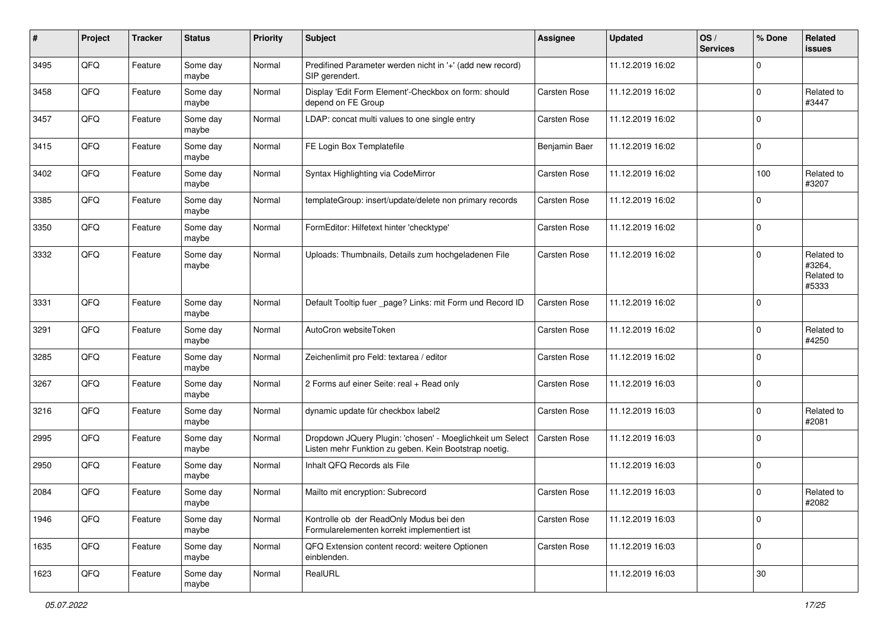| $\pmb{\#}$ | Project | <b>Tracker</b> | <b>Status</b>     | <b>Priority</b> | <b>Subject</b>                                                                                                     | <b>Assignee</b> | <b>Updated</b>   | OS/<br><b>Services</b> | % Done      | Related<br>issues                           |
|------------|---------|----------------|-------------------|-----------------|--------------------------------------------------------------------------------------------------------------------|-----------------|------------------|------------------------|-------------|---------------------------------------------|
| 3495       | QFQ     | Feature        | Some day<br>maybe | Normal          | Predifined Parameter werden nicht in '+' (add new record)<br>SIP gerendert.                                        |                 | 11.12.2019 16:02 |                        | $\Omega$    |                                             |
| 3458       | QFQ     | Feature        | Some day<br>maybe | Normal          | Display 'Edit Form Element'-Checkbox on form: should<br>depend on FE Group                                         | Carsten Rose    | 11.12.2019 16:02 |                        | $\mathbf 0$ | Related to<br>#3447                         |
| 3457       | QFQ     | Feature        | Some day<br>maybe | Normal          | LDAP: concat multi values to one single entry                                                                      | Carsten Rose    | 11.12.2019 16:02 |                        | $\Omega$    |                                             |
| 3415       | QFQ     | Feature        | Some day<br>maybe | Normal          | FE Login Box Templatefile                                                                                          | Benjamin Baer   | 11.12.2019 16:02 |                        | $\mathbf 0$ |                                             |
| 3402       | QFQ     | Feature        | Some day<br>maybe | Normal          | Syntax Highlighting via CodeMirror                                                                                 | Carsten Rose    | 11.12.2019 16:02 |                        | 100         | Related to<br>#3207                         |
| 3385       | QFQ     | Feature        | Some day<br>maybe | Normal          | templateGroup: insert/update/delete non primary records                                                            | Carsten Rose    | 11.12.2019 16:02 |                        | $\Omega$    |                                             |
| 3350       | QFQ     | Feature        | Some day<br>maybe | Normal          | FormEditor: Hilfetext hinter 'checktype'                                                                           | Carsten Rose    | 11.12.2019 16:02 |                        | l 0         |                                             |
| 3332       | QFQ     | Feature        | Some day<br>maybe | Normal          | Uploads: Thumbnails, Details zum hochgeladenen File                                                                | Carsten Rose    | 11.12.2019 16:02 |                        | $\Omega$    | Related to<br>#3264,<br>Related to<br>#5333 |
| 3331       | QFQ     | Feature        | Some day<br>maybe | Normal          | Default Tooltip fuer _page? Links: mit Form und Record ID                                                          | Carsten Rose    | 11.12.2019 16:02 |                        | $\Omega$    |                                             |
| 3291       | QFQ     | Feature        | Some day<br>maybe | Normal          | AutoCron websiteToken                                                                                              | Carsten Rose    | 11.12.2019 16:02 |                        | $\mathbf 0$ | Related to<br>#4250                         |
| 3285       | QFQ     | Feature        | Some day<br>maybe | Normal          | Zeichenlimit pro Feld: textarea / editor                                                                           | Carsten Rose    | 11.12.2019 16:02 |                        | l 0         |                                             |
| 3267       | QFQ     | Feature        | Some day<br>maybe | Normal          | 2 Forms auf einer Seite: real + Read only                                                                          | Carsten Rose    | 11.12.2019 16:03 |                        | $\Omega$    |                                             |
| 3216       | QFQ     | Feature        | Some day<br>maybe | Normal          | dynamic update für checkbox label2                                                                                 | Carsten Rose    | 11.12.2019 16:03 |                        | $\Omega$    | Related to<br>#2081                         |
| 2995       | QFQ     | Feature        | Some day<br>maybe | Normal          | Dropdown JQuery Plugin: 'chosen' - Moeglichkeit um Select<br>Listen mehr Funktion zu geben. Kein Bootstrap noetig. | Carsten Rose    | 11.12.2019 16:03 |                        | $\Omega$    |                                             |
| 2950       | QFQ     | Feature        | Some day<br>maybe | Normal          | Inhalt QFQ Records als File                                                                                        |                 | 11.12.2019 16:03 |                        | $\Omega$    |                                             |
| 2084       | QFQ     | Feature        | Some day<br>maybe | Normal          | Mailto mit encryption: Subrecord                                                                                   | Carsten Rose    | 11.12.2019 16:03 |                        | $\Omega$    | Related to<br>#2082                         |
| 1946       | QFQ     | Feature        | Some day<br>maybe | Normal          | Kontrolle ob der ReadOnly Modus bei den<br>Formularelementen korrekt implementiert ist                             | Carsten Rose    | 11.12.2019 16:03 |                        | l 0         |                                             |
| 1635       | QFQ     | Feature        | Some day<br>maybe | Normal          | QFQ Extension content record: weitere Optionen<br>einblenden.                                                      | Carsten Rose    | 11.12.2019 16:03 |                        | l 0         |                                             |
| 1623       | QFQ     | Feature        | Some day<br>maybe | Normal          | RealURL                                                                                                            |                 | 11.12.2019 16:03 |                        | 30          |                                             |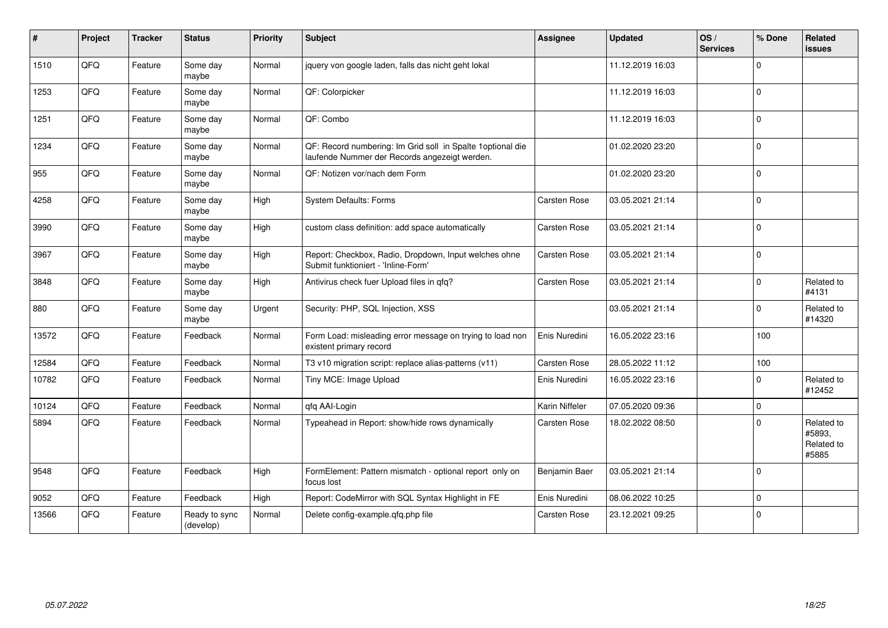| $\pmb{\#}$ | Project | <b>Tracker</b> | <b>Status</b>              | <b>Priority</b> | Subject                                                                                                     | <b>Assignee</b> | <b>Updated</b>   | OS/<br><b>Services</b> | % Done      | Related<br><b>issues</b>                    |
|------------|---------|----------------|----------------------------|-----------------|-------------------------------------------------------------------------------------------------------------|-----------------|------------------|------------------------|-------------|---------------------------------------------|
| 1510       | QFQ     | Feature        | Some day<br>maybe          | Normal          | jquery von google laden, falls das nicht geht lokal                                                         |                 | 11.12.2019 16:03 |                        | $\Omega$    |                                             |
| 1253       | QFQ     | Feature        | Some day<br>maybe          | Normal          | QF: Colorpicker                                                                                             |                 | 11.12.2019 16:03 |                        | l O         |                                             |
| 1251       | QFQ     | Feature        | Some day<br>maybe          | Normal          | QF: Combo                                                                                                   |                 | 11.12.2019 16:03 |                        | $\Omega$    |                                             |
| 1234       | QFG     | Feature        | Some day<br>maybe          | Normal          | QF: Record numbering: Im Grid soll in Spalte 1optional die<br>laufende Nummer der Records angezeigt werden. |                 | 01.02.2020 23:20 |                        | $\Omega$    |                                             |
| 955        | QFQ     | Feature        | Some day<br>maybe          | Normal          | QF: Notizen vor/nach dem Form                                                                               |                 | 01.02.2020 23:20 |                        | $\mathbf 0$ |                                             |
| 4258       | QFQ     | Feature        | Some day<br>maybe          | High            | System Defaults: Forms                                                                                      | Carsten Rose    | 03.05.2021 21:14 |                        | $\Omega$    |                                             |
| 3990       | QFQ     | Feature        | Some day<br>maybe          | High            | custom class definition: add space automatically                                                            | Carsten Rose    | 03.05.2021 21:14 |                        | l O         |                                             |
| 3967       | QFQ     | Feature        | Some day<br>maybe          | High            | Report: Checkbox, Radio, Dropdown, Input welches ohne<br>Submit funktioniert - 'Inline-Form'                | Carsten Rose    | 03.05.2021 21:14 |                        | I٥          |                                             |
| 3848       | QFQ     | Feature        | Some day<br>maybe          | High            | Antivirus check fuer Upload files in qfq?                                                                   | Carsten Rose    | 03.05.2021 21:14 |                        | $\mathbf 0$ | Related to<br>#4131                         |
| 880        | QFQ     | Feature        | Some day<br>maybe          | Urgent          | Security: PHP, SQL Injection, XSS                                                                           |                 | 03.05.2021 21:14 |                        | $\Omega$    | Related to<br>#14320                        |
| 13572      | QFQ     | Feature        | Feedback                   | Normal          | Form Load: misleading error message on trying to load non<br>existent primary record                        | Enis Nuredini   | 16.05.2022 23:16 |                        | 100         |                                             |
| 12584      | QFQ     | Feature        | Feedback                   | Normal          | T3 v10 migration script: replace alias-patterns (v11)                                                       | Carsten Rose    | 28.05.2022 11:12 |                        | 100         |                                             |
| 10782      | QFQ     | Feature        | Feedback                   | Normal          | Tiny MCE: Image Upload                                                                                      | Enis Nuredini   | 16.05.2022 23:16 |                        | $\Omega$    | Related to<br>#12452                        |
| 10124      | QFQ     | Feature        | Feedback                   | Normal          | qfq AAI-Login                                                                                               | Karin Niffeler  | 07.05.2020 09:36 |                        | $\mathbf 0$ |                                             |
| 5894       | QFQ     | Feature        | Feedback                   | Normal          | Typeahead in Report: show/hide rows dynamically                                                             | Carsten Rose    | 18.02.2022 08:50 |                        | $\Omega$    | Related to<br>#5893,<br>Related to<br>#5885 |
| 9548       | QFQ     | Feature        | Feedback                   | High            | FormElement: Pattern mismatch - optional report only on<br>focus lost                                       | Benjamin Baer   | 03.05.2021 21:14 |                        | $\Omega$    |                                             |
| 9052       | QFQ     | Feature        | Feedback                   | High            | Report: CodeMirror with SQL Syntax Highlight in FE                                                          | Enis Nuredini   | 08.06.2022 10:25 |                        | $\Omega$    |                                             |
| 13566      | QFQ     | Feature        | Ready to sync<br>(develop) | Normal          | Delete config-example.qfq.php file                                                                          | Carsten Rose    | 23.12.2021 09:25 |                        | $\Omega$    |                                             |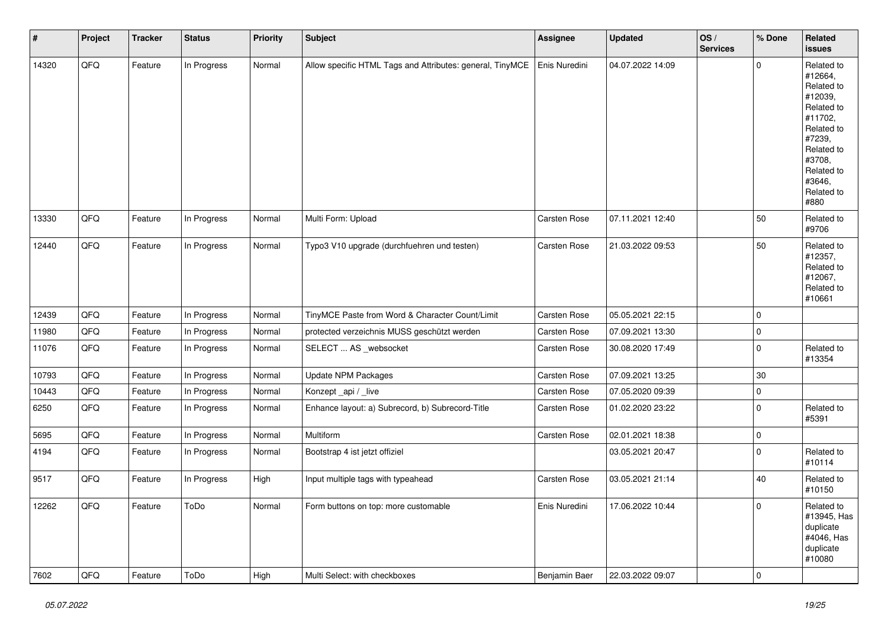| $\sharp$ | Project | <b>Tracker</b> | <b>Status</b> | <b>Priority</b> | <b>Subject</b>                                            | <b>Assignee</b> | <b>Updated</b>   | OS/<br><b>Services</b> | % Done      | Related<br>issues                                                                                                                                                     |
|----------|---------|----------------|---------------|-----------------|-----------------------------------------------------------|-----------------|------------------|------------------------|-------------|-----------------------------------------------------------------------------------------------------------------------------------------------------------------------|
| 14320    | QFQ     | Feature        | In Progress   | Normal          | Allow specific HTML Tags and Attributes: general, TinyMCE | Enis Nuredini   | 04.07.2022 14:09 |                        | $\mathbf 0$ | Related to<br>#12664,<br>Related to<br>#12039,<br>Related to<br>#11702,<br>Related to<br>#7239,<br>Related to<br>#3708,<br>Related to<br>#3646,<br>Related to<br>#880 |
| 13330    | QFQ     | Feature        | In Progress   | Normal          | Multi Form: Upload                                        | Carsten Rose    | 07.11.2021 12:40 |                        | 50          | Related to<br>#9706                                                                                                                                                   |
| 12440    | QFQ     | Feature        | In Progress   | Normal          | Typo3 V10 upgrade (durchfuehren und testen)               | Carsten Rose    | 21.03.2022 09:53 |                        | 50          | Related to<br>#12357,<br>Related to<br>#12067,<br>Related to<br>#10661                                                                                                |
| 12439    | QFG     | Feature        | In Progress   | Normal          | TinyMCE Paste from Word & Character Count/Limit           | Carsten Rose    | 05.05.2021 22:15 |                        | 0           |                                                                                                                                                                       |
| 11980    | QFQ     | Feature        | In Progress   | Normal          | protected verzeichnis MUSS geschützt werden               | Carsten Rose    | 07.09.2021 13:30 |                        | $\pmb{0}$   |                                                                                                                                                                       |
| 11076    | QFQ     | Feature        | In Progress   | Normal          | SELECT  AS _websocket                                     | Carsten Rose    | 30.08.2020 17:49 |                        | $\pmb{0}$   | Related to<br>#13354                                                                                                                                                  |
| 10793    | QFQ     | Feature        | In Progress   | Normal          | <b>Update NPM Packages</b>                                | Carsten Rose    | 07.09.2021 13:25 |                        | 30          |                                                                                                                                                                       |
| 10443    | QFQ     | Feature        | In Progress   | Normal          | Konzept_api / _live                                       | Carsten Rose    | 07.05.2020 09:39 |                        | $\pmb{0}$   |                                                                                                                                                                       |
| 6250     | QFQ     | Feature        | In Progress   | Normal          | Enhance layout: a) Subrecord, b) Subrecord-Title          | Carsten Rose    | 01.02.2020 23:22 |                        | $\pmb{0}$   | Related to<br>#5391                                                                                                                                                   |
| 5695     | QFO     | Feature        | In Progress   | Normal          | Multiform                                                 | Carsten Rose    | 02.01.2021 18:38 |                        | $\pmb{0}$   |                                                                                                                                                                       |
| 4194     | QFQ     | Feature        | In Progress   | Normal          | Bootstrap 4 ist jetzt offiziel                            |                 | 03.05.2021 20:47 |                        | $\pmb{0}$   | Related to<br>#10114                                                                                                                                                  |
| 9517     | QFQ     | Feature        | In Progress   | High            | Input multiple tags with typeahead                        | Carsten Rose    | 03.05.2021 21:14 |                        | 40          | Related to<br>#10150                                                                                                                                                  |
| 12262    | QFQ     | Feature        | ToDo          | Normal          | Form buttons on top: more customable                      | Enis Nuredini   | 17.06.2022 10:44 |                        | 0           | Related to<br>#13945, Has<br>duplicate<br>#4046, Has<br>duplicate<br>#10080                                                                                           |
| 7602     | QFO     | Feature        | ToDo          | High            | Multi Select: with checkboxes                             | Benjamin Baer   | 22.03.2022 09:07 |                        | $\pmb{0}$   |                                                                                                                                                                       |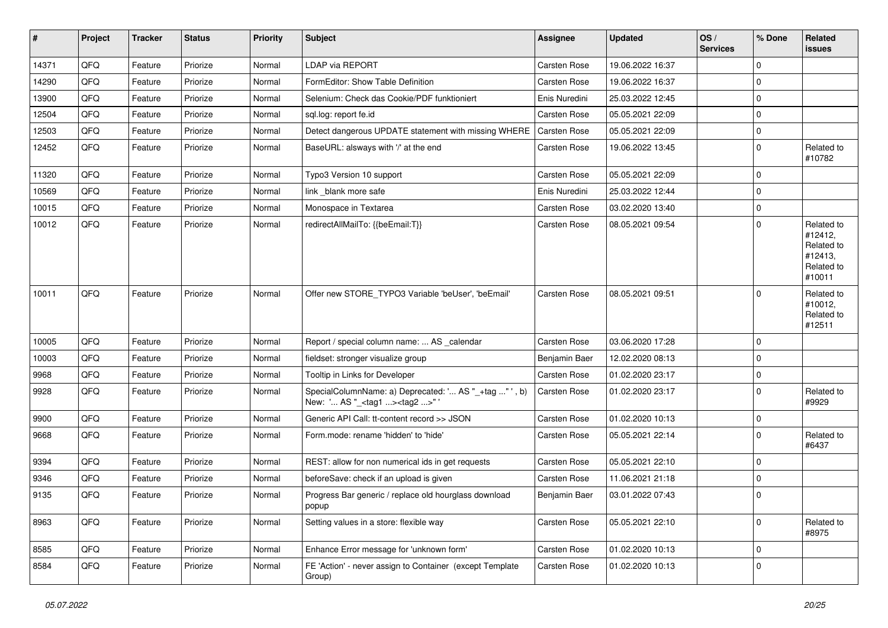| #     | Project | <b>Tracker</b> | <b>Status</b> | <b>Priority</b> | Subject                                                                                           | <b>Assignee</b> | <b>Updated</b>   | OS/<br><b>Services</b> | % Done      | Related<br>issues                                                      |
|-------|---------|----------------|---------------|-----------------|---------------------------------------------------------------------------------------------------|-----------------|------------------|------------------------|-------------|------------------------------------------------------------------------|
| 14371 | QFQ     | Feature        | Priorize      | Normal          | <b>LDAP via REPORT</b>                                                                            | Carsten Rose    | 19.06.2022 16:37 |                        | $\mathbf 0$ |                                                                        |
| 14290 | QFQ     | Feature        | Priorize      | Normal          | FormEditor: Show Table Definition                                                                 | Carsten Rose    | 19.06.2022 16:37 |                        | $\mathbf 0$ |                                                                        |
| 13900 | QFQ     | Feature        | Priorize      | Normal          | Selenium: Check das Cookie/PDF funktioniert                                                       | Enis Nuredini   | 25.03.2022 12:45 |                        | $\mathbf 0$ |                                                                        |
| 12504 | QFQ     | Feature        | Priorize      | Normal          | sql.log: report fe.id                                                                             | Carsten Rose    | 05.05.2021 22:09 |                        | $\mathbf 0$ |                                                                        |
| 12503 | QFQ     | Feature        | Priorize      | Normal          | Detect dangerous UPDATE statement with missing WHERE                                              | Carsten Rose    | 05.05.2021 22:09 |                        | $\mathbf 0$ |                                                                        |
| 12452 | QFQ     | Feature        | Priorize      | Normal          | BaseURL: alsways with '/' at the end                                                              | Carsten Rose    | 19.06.2022 13:45 |                        | $\mathbf 0$ | Related to<br>#10782                                                   |
| 11320 | QFQ     | Feature        | Priorize      | Normal          | Typo3 Version 10 support                                                                          | Carsten Rose    | 05.05.2021 22:09 |                        | $\mathbf 0$ |                                                                        |
| 10569 | QFQ     | Feature        | Priorize      | Normal          | link _blank more safe                                                                             | Enis Nuredini   | 25.03.2022 12:44 |                        | $\mathbf 0$ |                                                                        |
| 10015 | QFQ     | Feature        | Priorize      | Normal          | Monospace in Textarea                                                                             | Carsten Rose    | 03.02.2020 13:40 |                        | $\mathbf 0$ |                                                                        |
| 10012 | QFQ     | Feature        | Priorize      | Normal          | redirectAllMailTo: {{beEmail:T}}                                                                  | Carsten Rose    | 08.05.2021 09:54 |                        | $\mathbf 0$ | Related to<br>#12412,<br>Related to<br>#12413,<br>Related to<br>#10011 |
| 10011 | QFQ     | Feature        | Priorize      | Normal          | Offer new STORE_TYPO3 Variable 'beUser', 'beEmail'                                                | Carsten Rose    | 08.05.2021 09:51 |                        | $\mathbf 0$ | Related to<br>#10012,<br>Related to<br>#12511                          |
| 10005 | QFQ     | Feature        | Priorize      | Normal          | Report / special column name:  AS _calendar                                                       | Carsten Rose    | 03.06.2020 17:28 |                        | $\mathbf 0$ |                                                                        |
| 10003 | QFQ     | Feature        | Priorize      | Normal          | fieldset: stronger visualize group                                                                | Benjamin Baer   | 12.02.2020 08:13 |                        | $\mathbf 0$ |                                                                        |
| 9968  | QFQ     | Feature        | Priorize      | Normal          | Tooltip in Links for Developer                                                                    | Carsten Rose    | 01.02.2020 23:17 |                        | $\mathbf 0$ |                                                                        |
| 9928  | QFQ     | Feature        | Priorize      | Normal          | SpecialColumnName: a) Deprecated: ' AS "_+tag " ', b)<br>New: ' AS "_ <tag1><tag2>"</tag2></tag1> | Carsten Rose    | 01.02.2020 23:17 |                        | $\mathbf 0$ | Related to<br>#9929                                                    |
| 9900  | QFQ     | Feature        | Priorize      | Normal          | Generic API Call: tt-content record >> JSON                                                       | Carsten Rose    | 01.02.2020 10:13 |                        | $\mathbf 0$ |                                                                        |
| 9668  | QFQ     | Feature        | Priorize      | Normal          | Form.mode: rename 'hidden' to 'hide'                                                              | Carsten Rose    | 05.05.2021 22:14 |                        | $\mathbf 0$ | Related to<br>#6437                                                    |
| 9394  | QFQ     | Feature        | Priorize      | Normal          | REST: allow for non numerical ids in get requests                                                 | Carsten Rose    | 05.05.2021 22:10 |                        | $\mathbf 0$ |                                                                        |
| 9346  | QFQ     | Feature        | Priorize      | Normal          | beforeSave: check if an upload is given                                                           | Carsten Rose    | 11.06.2021 21:18 |                        | $\mathbf 0$ |                                                                        |
| 9135  | QFQ     | Feature        | Priorize      | Normal          | Progress Bar generic / replace old hourglass download<br>popup                                    | Benjamin Baer   | 03.01.2022 07:43 |                        | $\mathbf 0$ |                                                                        |
| 8963  | QFQ     | Feature        | Priorize      | Normal          | Setting values in a store: flexible way                                                           | Carsten Rose    | 05.05.2021 22:10 |                        | $\mathbf 0$ | Related to<br>#8975                                                    |
| 8585  | QFQ     | Feature        | Priorize      | Normal          | Enhance Error message for 'unknown form'                                                          | Carsten Rose    | 01.02.2020 10:13 |                        | $\mathbf 0$ |                                                                        |
| 8584  | QFQ     | Feature        | Priorize      | Normal          | FE 'Action' - never assign to Container (except Template<br>Group)                                | Carsten Rose    | 01.02.2020 10:13 |                        | $\mathbf 0$ |                                                                        |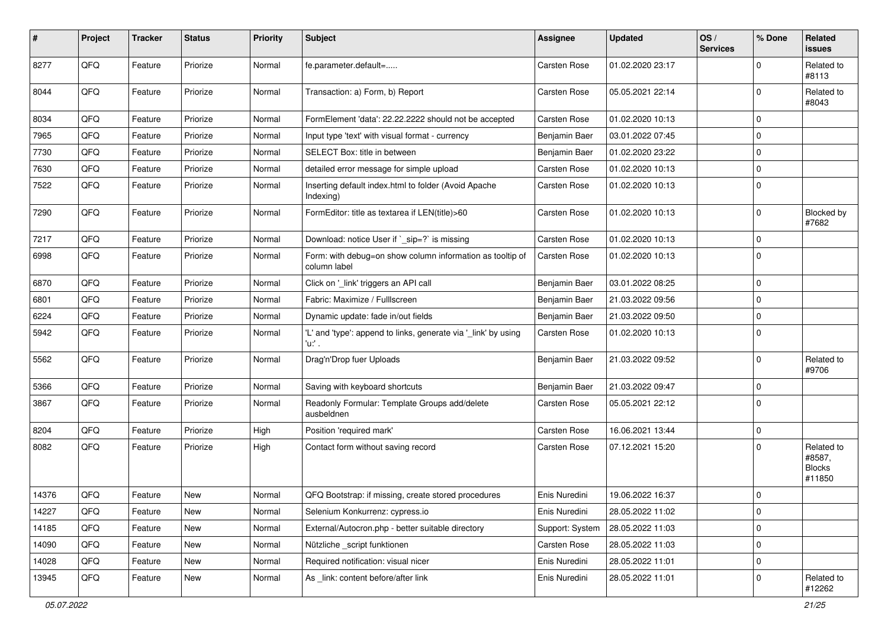| $\sharp$ | Project | <b>Tracker</b> | <b>Status</b> | <b>Priority</b> | Subject                                                                   | <b>Assignee</b> | <b>Updated</b>   | OS/<br><b>Services</b> | % Done      | Related<br><b>issues</b>                        |
|----------|---------|----------------|---------------|-----------------|---------------------------------------------------------------------------|-----------------|------------------|------------------------|-------------|-------------------------------------------------|
| 8277     | QFQ     | Feature        | Priorize      | Normal          | fe.parameter.default=                                                     | Carsten Rose    | 01.02.2020 23:17 |                        | $\mathbf 0$ | Related to<br>#8113                             |
| 8044     | QFQ     | Feature        | Priorize      | Normal          | Transaction: a) Form, b) Report                                           | Carsten Rose    | 05.05.2021 22:14 |                        | $\mathbf 0$ | Related to<br>#8043                             |
| 8034     | QFQ     | Feature        | Priorize      | Normal          | FormElement 'data': 22.22.2222 should not be accepted                     | Carsten Rose    | 01.02.2020 10:13 |                        | $\mathbf 0$ |                                                 |
| 7965     | QFQ     | Feature        | Priorize      | Normal          | Input type 'text' with visual format - currency                           | Benjamin Baer   | 03.01.2022 07:45 |                        | $\mathbf 0$ |                                                 |
| 7730     | QFQ     | Feature        | Priorize      | Normal          | SELECT Box: title in between                                              | Benjamin Baer   | 01.02.2020 23:22 |                        | $\mathbf 0$ |                                                 |
| 7630     | QFQ     | Feature        | Priorize      | Normal          | detailed error message for simple upload                                  | Carsten Rose    | 01.02.2020 10:13 |                        | $\mathbf 0$ |                                                 |
| 7522     | QFQ     | Feature        | Priorize      | Normal          | Inserting default index.html to folder (Avoid Apache<br>Indexing)         | Carsten Rose    | 01.02.2020 10:13 |                        | $\mathbf 0$ |                                                 |
| 7290     | QFQ     | Feature        | Priorize      | Normal          | FormEditor: title as textarea if LEN(title)>60                            | Carsten Rose    | 01.02.2020 10:13 |                        | $\mathbf 0$ | Blocked by<br>#7682                             |
| 7217     | QFQ     | Feature        | Priorize      | Normal          | Download: notice User if ` sip=?` is missing                              | Carsten Rose    | 01.02.2020 10:13 |                        | $\mathbf 0$ |                                                 |
| 6998     | QFQ     | Feature        | Priorize      | Normal          | Form: with debug=on show column information as tooltip of<br>column label | Carsten Rose    | 01.02.2020 10:13 |                        | $\mathbf 0$ |                                                 |
| 6870     | QFQ     | Feature        | Priorize      | Normal          | Click on '_link' triggers an API call                                     | Benjamin Baer   | 03.01.2022 08:25 |                        | $\mathbf 0$ |                                                 |
| 6801     | QFQ     | Feature        | Priorize      | Normal          | Fabric: Maximize / Fulllscreen                                            | Benjamin Baer   | 21.03.2022 09:56 |                        | $\mathbf 0$ |                                                 |
| 6224     | QFQ     | Feature        | Priorize      | Normal          | Dynamic update: fade in/out fields                                        | Benjamin Baer   | 21.03.2022 09:50 |                        | $\mathbf 0$ |                                                 |
| 5942     | QFQ     | Feature        | Priorize      | Normal          | 'L' and 'type': append to links, generate via '_link' by using<br>'u.' .  | Carsten Rose    | 01.02.2020 10:13 |                        | $\mathbf 0$ |                                                 |
| 5562     | QFQ     | Feature        | Priorize      | Normal          | Drag'n'Drop fuer Uploads                                                  | Benjamin Baer   | 21.03.2022 09:52 |                        | $\mathbf 0$ | Related to<br>#9706                             |
| 5366     | QFQ     | Feature        | Priorize      | Normal          | Saving with keyboard shortcuts                                            | Benjamin Baer   | 21.03.2022 09:47 |                        | $\mathbf 0$ |                                                 |
| 3867     | QFQ     | Feature        | Priorize      | Normal          | Readonly Formular: Template Groups add/delete<br>ausbeldnen               | Carsten Rose    | 05.05.2021 22:12 |                        | $\mathbf 0$ |                                                 |
| 8204     | QFQ     | Feature        | Priorize      | High            | Position 'required mark'                                                  | Carsten Rose    | 16.06.2021 13:44 |                        | $\mathbf 0$ |                                                 |
| 8082     | QFQ     | Feature        | Priorize      | High            | Contact form without saving record                                        | Carsten Rose    | 07.12.2021 15:20 |                        | $\mathbf 0$ | Related to<br>#8587,<br><b>Blocks</b><br>#11850 |
| 14376    | QFQ     | Feature        | New           | Normal          | QFQ Bootstrap: if missing, create stored procedures                       | Enis Nuredini   | 19.06.2022 16:37 |                        | $\mathbf 0$ |                                                 |
| 14227    | QFQ     | Feature        | New           | Normal          | Selenium Konkurrenz: cypress.io                                           | Enis Nuredini   | 28.05.2022 11:02 |                        | $\mathbf 0$ |                                                 |
| 14185    | QFQ     | Feature        | New           | Normal          | External/Autocron.php - better suitable directory                         | Support: System | 28.05.2022 11:03 |                        | $\mathbf 0$ |                                                 |
| 14090    | QFQ     | Feature        | New           | Normal          | Nützliche _script funktionen                                              | Carsten Rose    | 28.05.2022 11:03 |                        | $\mathbf 0$ |                                                 |
| 14028    | QFQ     | Feature        | New           | Normal          | Required notification: visual nicer                                       | Enis Nuredini   | 28.05.2022 11:01 |                        | $\mathsf 0$ |                                                 |
| 13945    | QFQ     | Feature        | New           | Normal          | As _link: content before/after link                                       | Enis Nuredini   | 28.05.2022 11:01 |                        | 0           | Related to<br>#12262                            |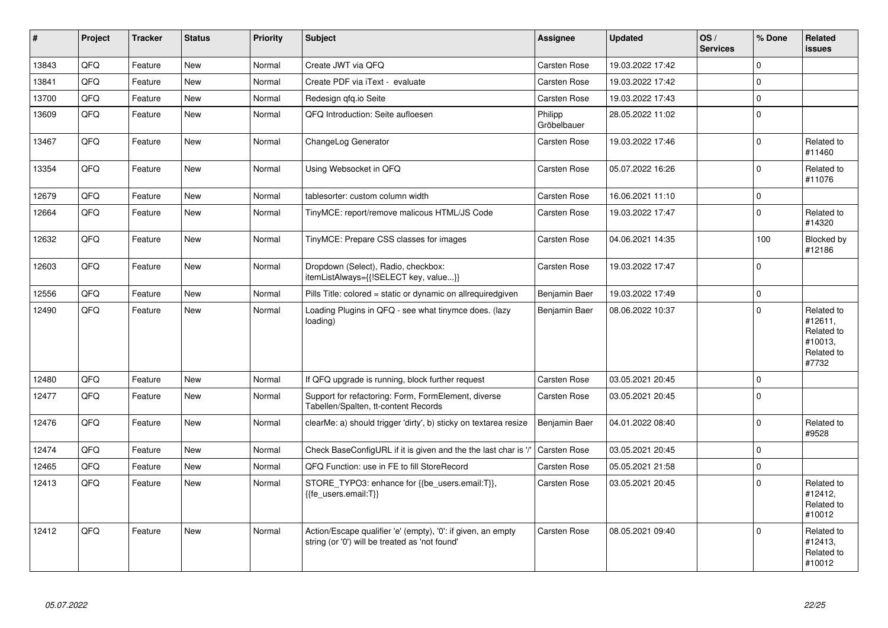| #     | <b>Project</b> | <b>Tracker</b> | <b>Status</b> | <b>Priority</b> | <b>Subject</b>                                                                                                 | Assignee               | <b>Updated</b>   | OS/<br><b>Services</b> | % Done      | Related<br><b>issues</b>                                              |
|-------|----------------|----------------|---------------|-----------------|----------------------------------------------------------------------------------------------------------------|------------------------|------------------|------------------------|-------------|-----------------------------------------------------------------------|
| 13843 | QFQ            | Feature        | New           | Normal          | Create JWT via QFQ                                                                                             | Carsten Rose           | 19.03.2022 17:42 |                        | $\Omega$    |                                                                       |
| 13841 | QFQ            | Feature        | New           | Normal          | Create PDF via iText - evaluate                                                                                | Carsten Rose           | 19.03.2022 17:42 |                        | $\mathbf 0$ |                                                                       |
| 13700 | QFQ            | Feature        | <b>New</b>    | Normal          | Redesign gfg.io Seite                                                                                          | Carsten Rose           | 19.03.2022 17:43 |                        | $\Omega$    |                                                                       |
| 13609 | QFQ            | Feature        | <b>New</b>    | Normal          | QFQ Introduction: Seite aufloesen                                                                              | Philipp<br>Gröbelbauer | 28.05.2022 11:02 |                        | $\mathbf 0$ |                                                                       |
| 13467 | QFQ            | Feature        | New           | Normal          | ChangeLog Generator                                                                                            | Carsten Rose           | 19.03.2022 17:46 |                        | $\Omega$    | Related to<br>#11460                                                  |
| 13354 | QFQ            | Feature        | <b>New</b>    | Normal          | Using Websocket in QFQ                                                                                         | Carsten Rose           | 05.07.2022 16:26 |                        | $\mathbf 0$ | Related to<br>#11076                                                  |
| 12679 | QFQ            | Feature        | New           | Normal          | tablesorter: custom column width                                                                               | Carsten Rose           | 16.06.2021 11:10 |                        | $\mathbf 0$ |                                                                       |
| 12664 | QFQ            | Feature        | New           | Normal          | TinyMCE: report/remove malicous HTML/JS Code                                                                   | Carsten Rose           | 19.03.2022 17:47 |                        | $\mathbf 0$ | Related to<br>#14320                                                  |
| 12632 | QFQ            | Feature        | <b>New</b>    | Normal          | TinyMCE: Prepare CSS classes for images                                                                        | Carsten Rose           | 04.06.2021 14:35 |                        | 100         | Blocked by<br>#12186                                                  |
| 12603 | QFQ            | Feature        | New           | Normal          | Dropdown (Select), Radio, checkbox:<br>itemListAlways={{!SELECT key, value}}                                   | Carsten Rose           | 19.03.2022 17:47 |                        | $\mathbf 0$ |                                                                       |
| 12556 | QFQ            | Feature        | New           | Normal          | Pills Title: colored = static or dynamic on allrequiredgiven                                                   | Benjamin Baer          | 19.03.2022 17:49 |                        | $\mathbf 0$ |                                                                       |
| 12490 | QFQ            | Feature        | New           | Normal          | Loading Plugins in QFQ - see what tinymce does. (lazy<br>loading)                                              | Benjamin Baer          | 08.06.2022 10:37 |                        | $\Omega$    | Related to<br>#12611,<br>Related to<br>#10013,<br>Related to<br>#7732 |
| 12480 | QFQ            | Feature        | <b>New</b>    | Normal          | If QFQ upgrade is running, block further request                                                               | Carsten Rose           | 03.05.2021 20:45 |                        | $\mathbf 0$ |                                                                       |
| 12477 | QFQ            | Feature        | <b>New</b>    | Normal          | Support for refactoring: Form, FormElement, diverse<br>Tabellen/Spalten, tt-content Records                    | Carsten Rose           | 03.05.2021 20:45 |                        | $\Omega$    |                                                                       |
| 12476 | QFQ            | Feature        | <b>New</b>    | Normal          | clearMe: a) should trigger 'dirty', b) sticky on textarea resize                                               | Benjamin Baer          | 04.01.2022 08:40 |                        | $\mathbf 0$ | Related to<br>#9528                                                   |
| 12474 | QFQ            | Feature        | New           | Normal          | Check BaseConfigURL if it is given and the the last char is '/'                                                | Carsten Rose           | 03.05.2021 20:45 |                        | $\mathbf 0$ |                                                                       |
| 12465 | QFQ            | Feature        | <b>New</b>    | Normal          | QFQ Function: use in FE to fill StoreRecord                                                                    | Carsten Rose           | 05.05.2021 21:58 |                        | $\mathbf 0$ |                                                                       |
| 12413 | QFQ            | Feature        | New           | Normal          | STORE_TYPO3: enhance for {{be_users.email:T}},<br>{{fe users.email:T}}                                         | Carsten Rose           | 03.05.2021 20:45 |                        | $\Omega$    | Related to<br>#12412,<br>Related to<br>#10012                         |
| 12412 | QFQ            | Feature        | New           | Normal          | Action/Escape qualifier 'e' (empty), '0': if given, an empty<br>string (or '0') will be treated as 'not found' | Carsten Rose           | 08.05.2021 09:40 |                        | $\Omega$    | Related to<br>#12413,<br>Related to<br>#10012                         |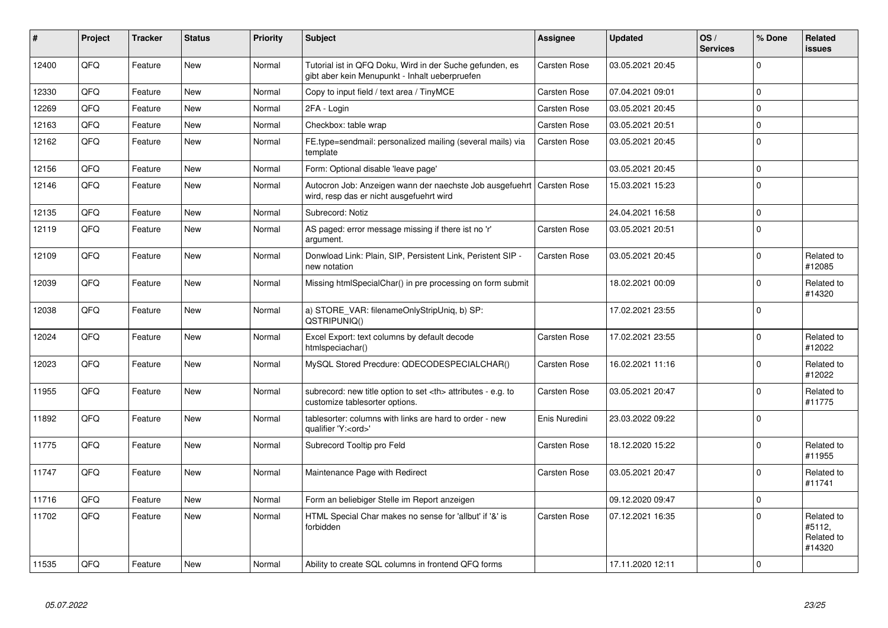| ∦     | Project | <b>Tracker</b> | <b>Status</b> | <b>Priority</b> | <b>Subject</b>                                                                                             | Assignee                                               | <b>Updated</b>   | OS/<br><b>Services</b> | % Done      | Related<br><b>issues</b>                     |                      |
|-------|---------|----------------|---------------|-----------------|------------------------------------------------------------------------------------------------------------|--------------------------------------------------------|------------------|------------------------|-------------|----------------------------------------------|----------------------|
| 12400 | QFQ     | Feature        | New           | Normal          | Tutorial ist in QFQ Doku, Wird in der Suche gefunden, es<br>gibt aber kein Menupunkt - Inhalt ueberpruefen | Carsten Rose                                           | 03.05.2021 20:45 |                        | $\Omega$    |                                              |                      |
| 12330 | QFQ     | Feature        | New           | Normal          | Copy to input field / text area / TinyMCE                                                                  | <b>Carsten Rose</b>                                    | 07.04.2021 09:01 |                        | $\Omega$    |                                              |                      |
| 12269 | QFQ     | Feature        | New           | Normal          | 2FA - Login                                                                                                | Carsten Rose                                           | 03.05.2021 20:45 |                        | $\Omega$    |                                              |                      |
| 12163 | QFQ     | Feature        | <b>New</b>    | Normal          | Checkbox: table wrap                                                                                       | Carsten Rose                                           | 03.05.2021 20:51 |                        | $\Omega$    |                                              |                      |
| 12162 | QFQ     | Feature        | New           | Normal          | FE.type=sendmail: personalized mailing (several mails) via<br>template                                     | Carsten Rose                                           | 03.05.2021 20:45 |                        | $\Omega$    |                                              |                      |
| 12156 | QFQ     | Feature        | New           | Normal          | Form: Optional disable 'leave page'                                                                        |                                                        | 03.05.2021 20:45 |                        | $\Omega$    |                                              |                      |
| 12146 | QFQ     | Feature        | New           | Normal          | Autocron Job: Anzeigen wann der naechste Job ausgefuehrt<br>wird, resp das er nicht ausgefuehrt wird       | <b>Carsten Rose</b>                                    | 15.03.2021 15:23 |                        | $\Omega$    |                                              |                      |
| 12135 | QFQ     | Feature        | New           | Normal          | Subrecord: Notiz                                                                                           |                                                        | 24.04.2021 16:58 |                        | $\mathbf 0$ |                                              |                      |
| 12119 | QFQ     | Feature        | New           | Normal          | AS paged: error message missing if there ist no 'r'<br>argument.                                           | Carsten Rose                                           | 03.05.2021 20:51 |                        | $\Omega$    |                                              |                      |
| 12109 | QFQ     | Feature        | New           | Normal          | Donwload Link: Plain, SIP, Persistent Link, Peristent SIP -<br>new notation                                | Carsten Rose                                           | 03.05.2021 20:45 |                        | $\Omega$    | Related to<br>#12085                         |                      |
| 12039 | QFQ     | Feature        | New           | Normal          | Missing htmlSpecialChar() in pre processing on form submit                                                 |                                                        | 18.02.2021 00:09 |                        | $\Omega$    | Related to<br>#14320                         |                      |
| 12038 | QFQ     | Feature        | New           | Normal          | a) STORE_VAR: filenameOnlyStripUniq, b) SP:<br>QSTRIPUNIQ()                                                |                                                        | 17.02.2021 23:55 |                        | $\Omega$    |                                              |                      |
| 12024 | QFQ     | Feature        | New           | Normal          | Excel Export: text columns by default decode<br>htmlspeciachar()                                           | Carsten Rose                                           | 17.02.2021 23:55 |                        | $\Omega$    | Related to<br>#12022                         |                      |
| 12023 | QFQ     | Feature        | New           | Normal          | MySQL Stored Precdure: QDECODESPECIALCHAR()                                                                | Carsten Rose                                           | 16.02.2021 11:16 |                        | $\Omega$    | Related to<br>#12022                         |                      |
| 11955 | QFQ     | Feature        | New           | Normal          | subrecord: new title option to set <th> attributes - e.g. to<br/>customize tablesorter options.</th>       | attributes - e.g. to<br>customize tablesorter options. | Carsten Rose     | 03.05.2021 20:47       |             | $\Omega$                                     | Related to<br>#11775 |
| 11892 | QFQ     | Feature        | New           | Normal          | tablesorter: columns with links are hard to order - new<br>qualifier 'Y: <ord>'</ord>                      | Enis Nuredini                                          | 23.03.2022 09:22 |                        | $\Omega$    |                                              |                      |
| 11775 | QFQ     | Feature        | <b>New</b>    | Normal          | Subrecord Tooltip pro Feld                                                                                 | Carsten Rose                                           | 18.12.2020 15:22 |                        | $\Omega$    | Related to<br>#11955                         |                      |
| 11747 | QFQ     | Feature        | New           | Normal          | Maintenance Page with Redirect                                                                             | Carsten Rose                                           | 03.05.2021 20:47 |                        | $\Omega$    | Related to<br>#11741                         |                      |
| 11716 | QFQ     | Feature        | New           | Normal          | Form an beliebiger Stelle im Report anzeigen                                                               |                                                        | 09.12.2020 09:47 |                        | $\mathbf 0$ |                                              |                      |
| 11702 | QFQ     | Feature        | New           | Normal          | HTML Special Char makes no sense for 'allbut' if '&' is<br>forbidden                                       | Carsten Rose                                           | 07.12.2021 16:35 |                        | $\Omega$    | Related to<br>#5112,<br>Related to<br>#14320 |                      |
| 11535 | QFQ     | Feature        | New           | Normal          | Ability to create SQL columns in frontend QFQ forms                                                        |                                                        | 17.11.2020 12:11 |                        | $\Omega$    |                                              |                      |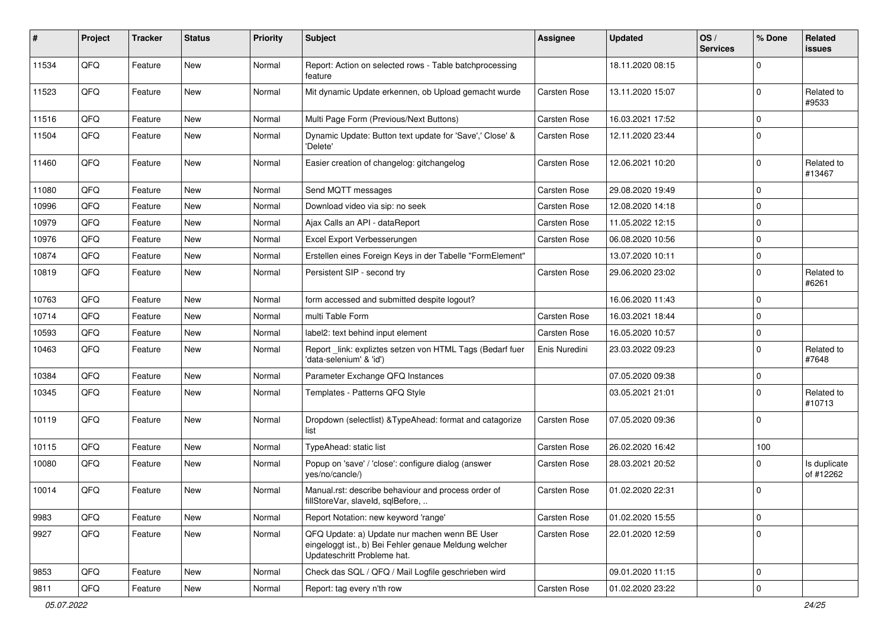| #     | Project | <b>Tracker</b> | <b>Status</b> | <b>Priority</b> | Subject                                                                                                                               | <b>Assignee</b>     | <b>Updated</b>   | OS/<br><b>Services</b> | % Done      | Related<br>issues         |
|-------|---------|----------------|---------------|-----------------|---------------------------------------------------------------------------------------------------------------------------------------|---------------------|------------------|------------------------|-------------|---------------------------|
| 11534 | QFQ     | Feature        | New           | Normal          | Report: Action on selected rows - Table batchprocessing<br>feature                                                                    |                     | 18.11.2020 08:15 |                        | $\Omega$    |                           |
| 11523 | QFQ     | Feature        | New           | Normal          | Mit dynamic Update erkennen, ob Upload gemacht wurde                                                                                  | Carsten Rose        | 13.11.2020 15:07 |                        | $\Omega$    | Related to<br>#9533       |
| 11516 | QFQ     | Feature        | New           | Normal          | Multi Page Form (Previous/Next Buttons)                                                                                               | Carsten Rose        | 16.03.2021 17:52 |                        | 0           |                           |
| 11504 | QFQ     | Feature        | New           | Normal          | Dynamic Update: Button text update for 'Save',' Close' &<br>'Delete'                                                                  | Carsten Rose        | 12.11.2020 23:44 |                        | $\Omega$    |                           |
| 11460 | QFQ     | Feature        | New           | Normal          | Easier creation of changelog: gitchangelog                                                                                            | Carsten Rose        | 12.06.2021 10:20 |                        | $\Omega$    | Related to<br>#13467      |
| 11080 | QFQ     | Feature        | New           | Normal          | Send MQTT messages                                                                                                                    | Carsten Rose        | 29.08.2020 19:49 |                        | $\mathbf 0$ |                           |
| 10996 | QFQ     | Feature        | New           | Normal          | Download video via sip: no seek                                                                                                       | Carsten Rose        | 12.08.2020 14:18 |                        | $\Omega$    |                           |
| 10979 | QFQ     | Feature        | New           | Normal          | Ajax Calls an API - dataReport                                                                                                        | <b>Carsten Rose</b> | 11.05.2022 12:15 |                        | $\Omega$    |                           |
| 10976 | QFQ     | Feature        | <b>New</b>    | Normal          | Excel Export Verbesserungen                                                                                                           | Carsten Rose        | 06.08.2020 10:56 |                        | 0           |                           |
| 10874 | QFQ     | Feature        | New           | Normal          | Erstellen eines Foreign Keys in der Tabelle "FormElement"                                                                             |                     | 13.07.2020 10:11 |                        | $\mathbf 0$ |                           |
| 10819 | QFQ     | Feature        | New           | Normal          | Persistent SIP - second try                                                                                                           | Carsten Rose        | 29.06.2020 23:02 |                        | $\Omega$    | Related to<br>#6261       |
| 10763 | QFQ     | Feature        | <b>New</b>    | Normal          | form accessed and submitted despite logout?                                                                                           |                     | 16.06.2020 11:43 |                        | $\Omega$    |                           |
| 10714 | QFQ     | Feature        | New           | Normal          | multi Table Form                                                                                                                      | Carsten Rose        | 16.03.2021 18:44 |                        | $\Omega$    |                           |
| 10593 | QFQ     | Feature        | New           | Normal          | label2: text behind input element                                                                                                     | Carsten Rose        | 16.05.2020 10:57 |                        | $\mathbf 0$ |                           |
| 10463 | QFQ     | Feature        | New           | Normal          | Report_link: expliztes setzen von HTML Tags (Bedarf fuer<br>'data-selenium' & 'id')                                                   | Enis Nuredini       | 23.03.2022 09:23 |                        | $\Omega$    | Related to<br>#7648       |
| 10384 | QFQ     | Feature        | New           | Normal          | Parameter Exchange QFQ Instances                                                                                                      |                     | 07.05.2020 09:38 |                        | $\mathbf 0$ |                           |
| 10345 | QFQ     | Feature        | New           | Normal          | Templates - Patterns QFQ Style                                                                                                        |                     | 03.05.2021 21:01 |                        | $\Omega$    | Related to<br>#10713      |
| 10119 | QFQ     | Feature        | New           | Normal          | Dropdown (selectlist) & TypeAhead: format and catagorize<br>list                                                                      | Carsten Rose        | 07.05.2020 09:36 |                        | $\mathbf 0$ |                           |
| 10115 | QFQ     | Feature        | New           | Normal          | TypeAhead: static list                                                                                                                | Carsten Rose        | 26.02.2020 16:42 |                        | 100         |                           |
| 10080 | QFQ     | Feature        | New           | Normal          | Popup on 'save' / 'close': configure dialog (answer<br>yes/no/cancle/)                                                                | Carsten Rose        | 28.03.2021 20:52 |                        | 0           | Is duplicate<br>of #12262 |
| 10014 | QFQ     | Feature        | New           | Normal          | Manual.rst: describe behaviour and process order of<br>fillStoreVar, slaveId, sqlBefore,                                              | <b>Carsten Rose</b> | 01.02.2020 22:31 |                        | $\Omega$    |                           |
| 9983  | QFQ     | Feature        | New           | Normal          | Report Notation: new keyword 'range'                                                                                                  | Carsten Rose        | 01.02.2020 15:55 |                        | $\mathbf 0$ |                           |
| 9927  | QFQ     | Feature        | New           | Normal          | QFQ Update: a) Update nur machen wenn BE User<br>eingeloggt ist., b) Bei Fehler genaue Meldung welcher<br>Updateschritt Probleme hat. | Carsten Rose        | 22.01.2020 12:59 |                        | $\mathbf 0$ |                           |
| 9853  | QFQ     | Feature        | New           | Normal          | Check das SQL / QFQ / Mail Logfile geschrieben wird                                                                                   |                     | 09.01.2020 11:15 |                        | l 0         |                           |
| 9811  | QFQ     | Feature        | New           | Normal          | Report: tag every n'th row                                                                                                            | Carsten Rose        | 01.02.2020 23:22 |                        | $\mathbf 0$ |                           |